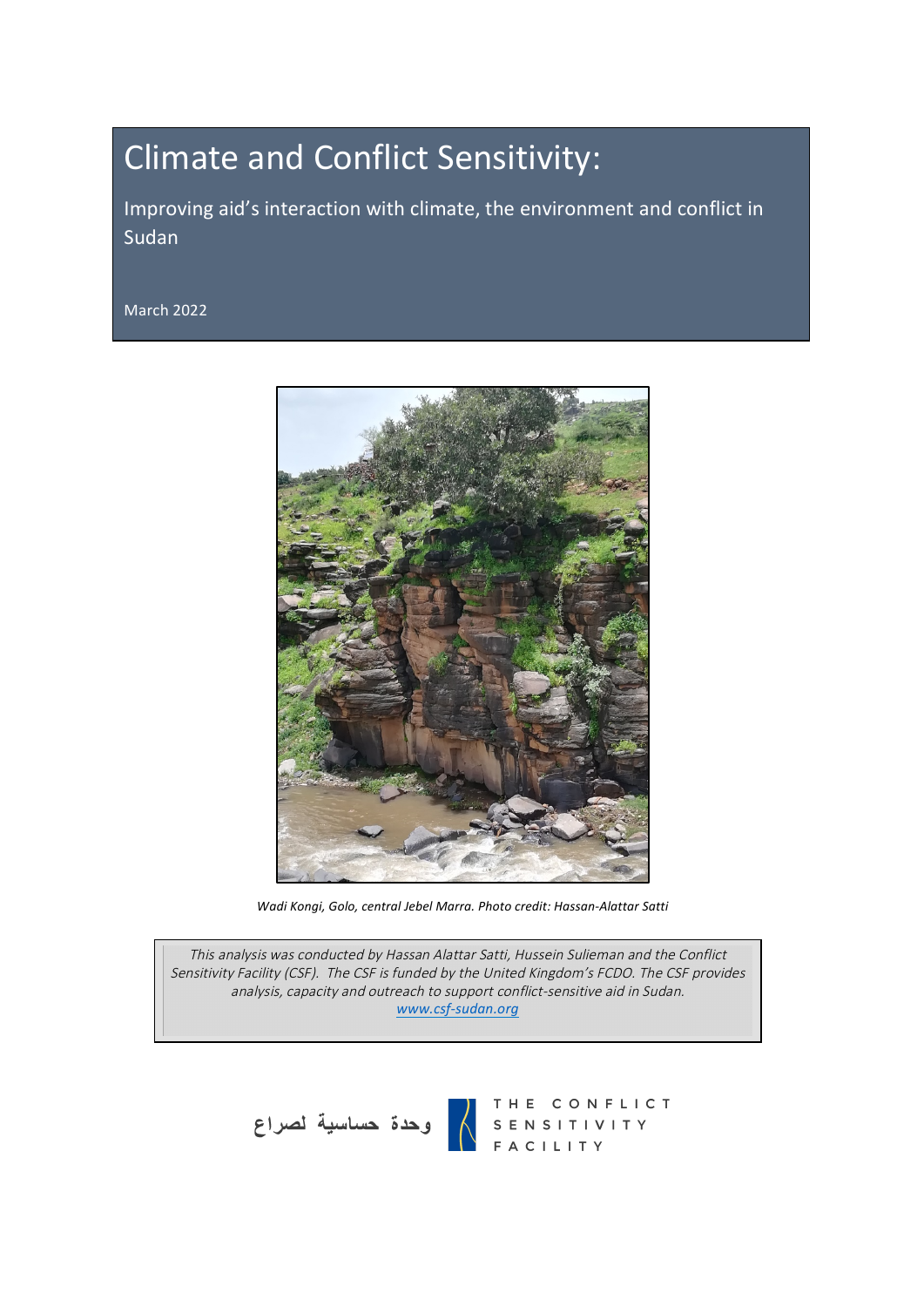# Climate and Conflict Sensitivity:

Improving aid's interaction with climate, the environment and conflict in Sudan

March 2022



*Wadi Kongi, Golo, central Jebel Marra. Photo credit: Hassan-Alattar Satti*

This analysis was conducted by Hassan Alattar Satti, Hussein Sulieman and the Conflict Sensitivity Facility (CSF). The CSF is funded by the United Kingdom's FCDO. The CSF provides analysis, capacity and outreach to support conflict-sensitive aid in Sudan. *www.csf-sudan.org*



THE CONFLICT<br>SENSITIVITY<br>FACILITY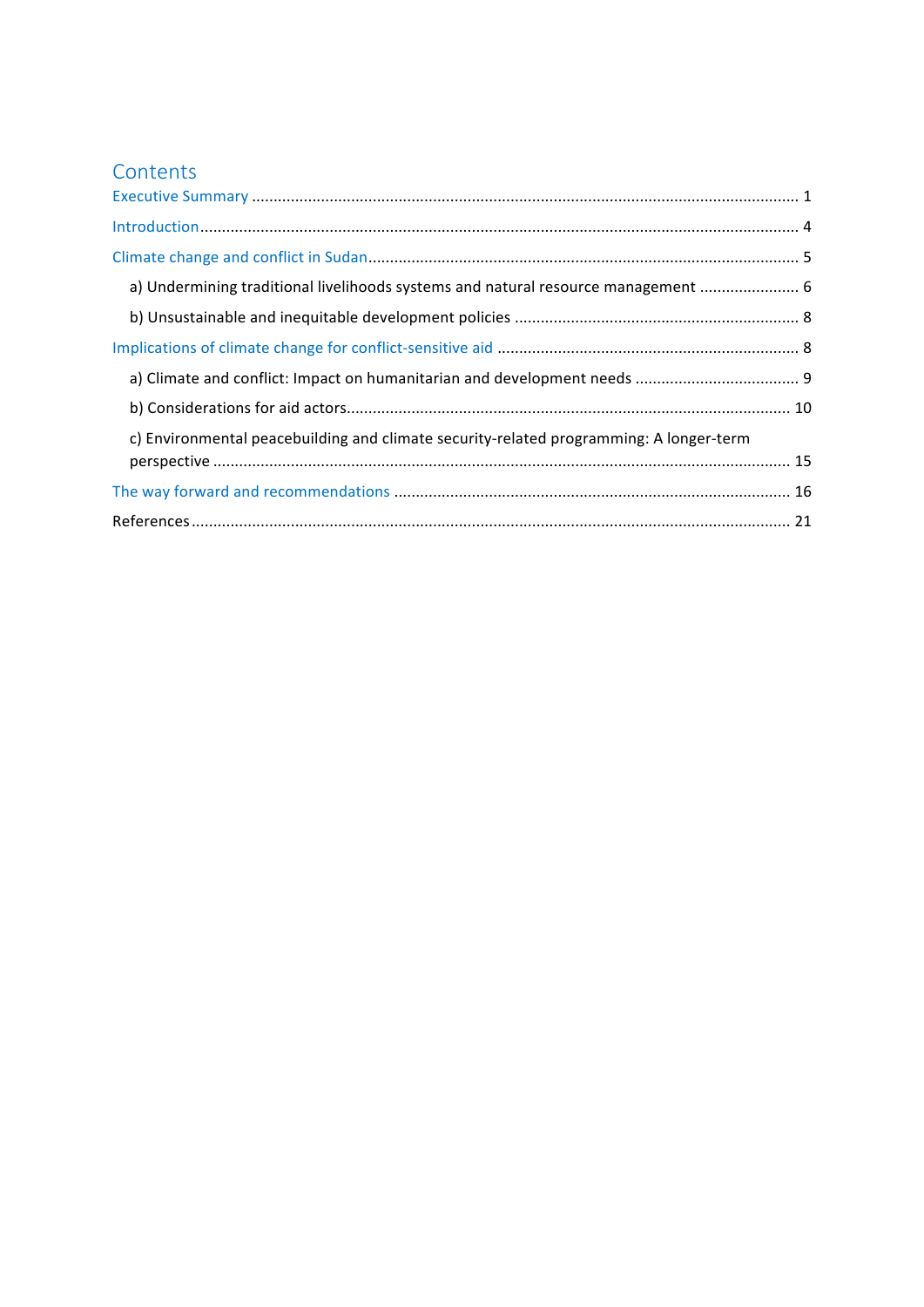## Contents

| a) Undermining traditional livelihoods systems and natural resource management  6      |  |
|----------------------------------------------------------------------------------------|--|
|                                                                                        |  |
|                                                                                        |  |
|                                                                                        |  |
|                                                                                        |  |
| c) Environmental peacebuilding and climate security-related programming: A longer-term |  |
|                                                                                        |  |
|                                                                                        |  |
|                                                                                        |  |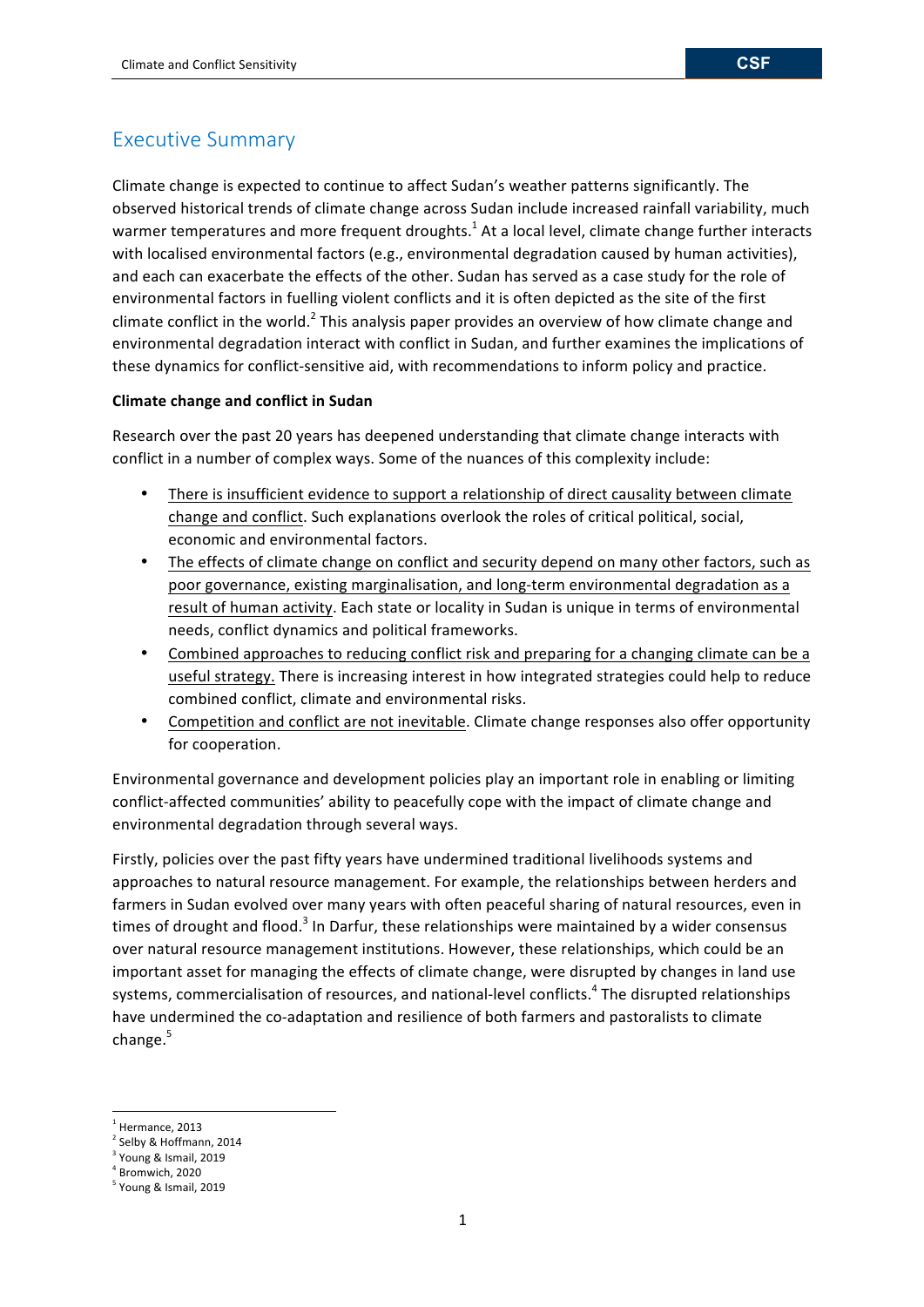## Executive Summary

Climate change is expected to continue to affect Sudan's weather patterns significantly. The observed historical trends of climate change across Sudan include increased rainfall variability, much warmer temperatures and more frequent droughts.<sup>1</sup> At a local level, climate change further interacts with localised environmental factors (e.g., environmental degradation caused by human activities), and each can exacerbate the effects of the other. Sudan has served as a case study for the role of environmental factors in fuelling violent conflicts and it is often depicted as the site of the first climate conflict in the world.<sup>2</sup> This analysis paper provides an overview of how climate change and environmental degradation interact with conflict in Sudan, and further examines the implications of these dynamics for conflict-sensitive aid, with recommendations to inform policy and practice.

## **Climate change and conflict in Sudan**

Research over the past 20 years has deepened understanding that climate change interacts with conflict in a number of complex ways. Some of the nuances of this complexity include:

- There is insufficient evidence to support a relationship of direct causality between climate change and conflict. Such explanations overlook the roles of critical political, social, economic and environmental factors.
- The effects of climate change on conflict and security depend on many other factors, such as poor governance, existing marginalisation, and long-term environmental degradation as a result of human activity. Each state or locality in Sudan is unique in terms of environmental needs, conflict dynamics and political frameworks.
- Combined approaches to reducing conflict risk and preparing for a changing climate can be a useful strategy. There is increasing interest in how integrated strategies could help to reduce combined conflict, climate and environmental risks.
- Competition and conflict are not inevitable. Climate change responses also offer opportunity for cooperation.

Environmental governance and development policies play an important role in enabling or limiting conflict-affected communities' ability to peacefully cope with the impact of climate change and environmental degradation through several ways.

Firstly, policies over the past fifty years have undermined traditional livelihoods systems and approaches to natural resource management. For example, the relationships between herders and farmers in Sudan evolved over many years with often peaceful sharing of natural resources, even in times of drought and flood.<sup>3</sup> In Darfur, these relationships were maintained by a wider consensus over natural resource management institutions. However, these relationships, which could be an important asset for managing the effects of climate change, were disrupted by changes in land use systems, commercialisation of resources, and national-level conflicts.<sup>4</sup> The disrupted relationships have undermined the co-adaptation and resilience of both farmers and pastoralists to climate change.<sup>5</sup>

 $<sup>1</sup>$  Hermance, 2013</sup>

 $2$  Selby & Hoffmann, 2014

<sup>&</sup>lt;sup>3</sup> Young & Ismail, 2019

 $4$  Bromwich, 2020

 $<sup>5</sup>$  Young & Ismail, 2019</sup>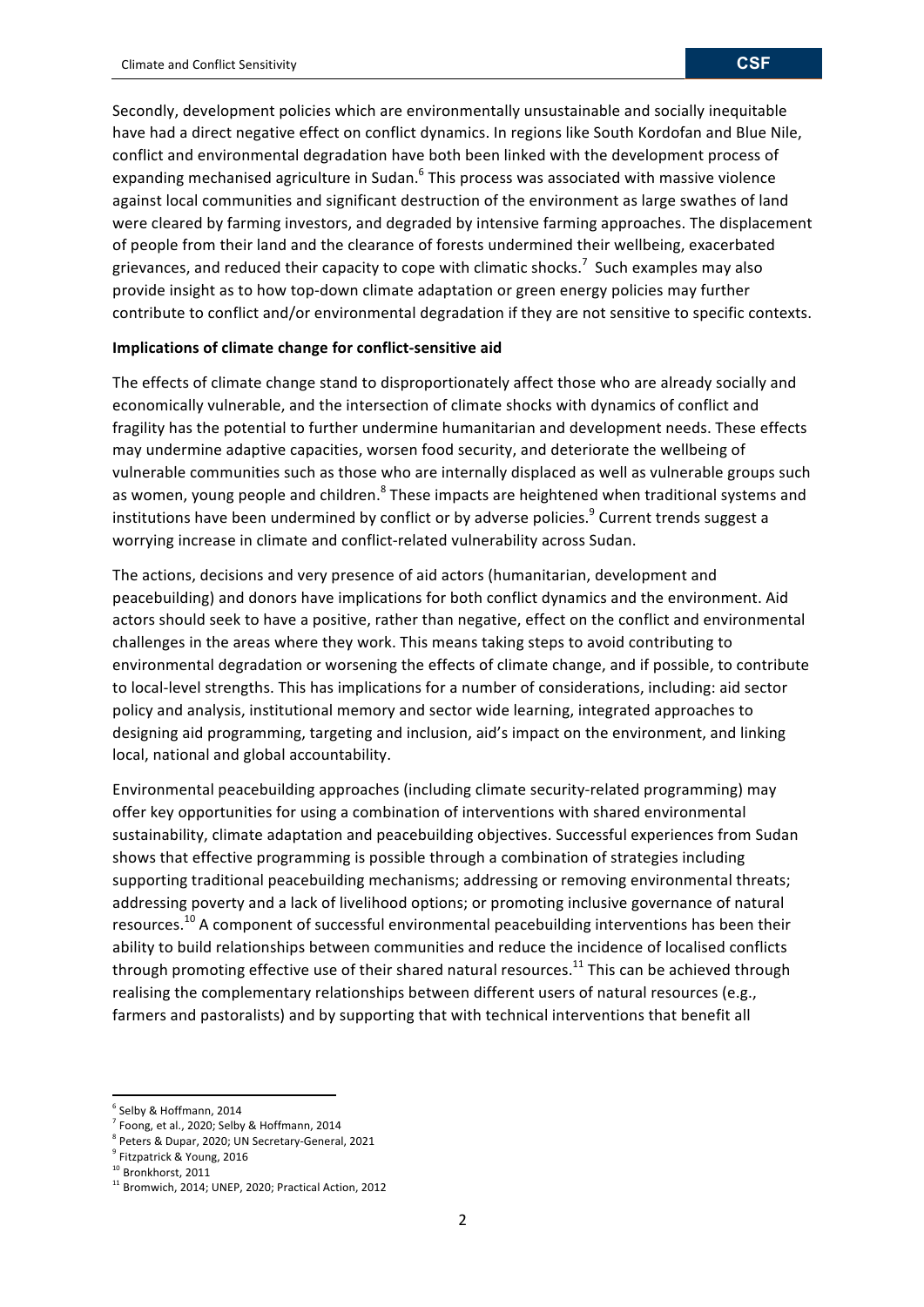Secondly, development policies which are environmentally unsustainable and socially inequitable have had a direct negative effect on conflict dynamics. In regions like South Kordofan and Blue Nile, conflict and environmental degradation have both been linked with the development process of expanding mechanised agriculture in Sudan. $^6$  This process was associated with massive violence against local communities and significant destruction of the environment as large swathes of land were cleared by farming investors, and degraded by intensive farming approaches. The displacement of people from their land and the clearance of forests undermined their wellbeing, exacerbated grievances, and reduced their capacity to cope with climatic shocks.<sup>7</sup> Such examples may also provide insight as to how top-down climate adaptation or green energy policies may further contribute to conflict and/or environmental degradation if they are not sensitive to specific contexts.

#### **Implications of climate change for conflict-sensitive aid**

The effects of climate change stand to disproportionately affect those who are already socially and economically vulnerable, and the intersection of climate shocks with dynamics of conflict and fragility has the potential to further undermine humanitarian and development needs. These effects may undermine adaptive capacities, worsen food security, and deteriorate the wellbeing of vulnerable communities such as those who are internally displaced as well as vulnerable groups such as women, young people and children.<sup>8</sup> These impacts are heightened when traditional systems and institutions have been undermined by conflict or by adverse policies.<sup>9</sup> Current trends suggest a worrying increase in climate and conflict-related vulnerability across Sudan.

The actions, decisions and very presence of aid actors (humanitarian, development and peacebuilding) and donors have implications for both conflict dynamics and the environment. Aid actors should seek to have a positive, rather than negative, effect on the conflict and environmental challenges in the areas where they work. This means taking steps to avoid contributing to environmental degradation or worsening the effects of climate change, and if possible, to contribute to local-level strengths. This has implications for a number of considerations, including: aid sector policy and analysis, institutional memory and sector wide learning, integrated approaches to designing aid programming, targeting and inclusion, aid's impact on the environment, and linking local, national and global accountability.

Environmental peacebuilding approaches (including climate security-related programming) may offer key opportunities for using a combination of interventions with shared environmental sustainability, climate adaptation and peacebuilding objectives. Successful experiences from Sudan shows that effective programming is possible through a combination of strategies including supporting traditional peacebuilding mechanisms; addressing or removing environmental threats; addressing poverty and a lack of livelihood options; or promoting inclusive governance of natural resources.<sup>10</sup> A component of successful environmental peacebuilding interventions has been their ability to build relationships between communities and reduce the incidence of localised conflicts through promoting effective use of their shared natural resources.<sup>11</sup> This can be achieved through realising the complementary relationships between different users of natural resources (e.g., farmers and pastoralists) and by supporting that with technical interventions that benefit all

 $<sup>6</sup>$  Selby & Hoffmann, 2014</sup>

 $7$  Foong, et al., 2020; Selby & Hoffmann, 2014

<sup>&</sup>lt;sup>8</sup> Peters & Dupar, 2020; UN Secretary-General, 2021

<sup>&</sup>lt;sup>9</sup> Fitzpatrick & Young, 2016

<sup>&</sup>lt;sup>10</sup> Bronkhorst, 2011

<sup>&</sup>lt;sup>11</sup> Bromwich, 2014; UNEP, 2020; Practical Action, 2012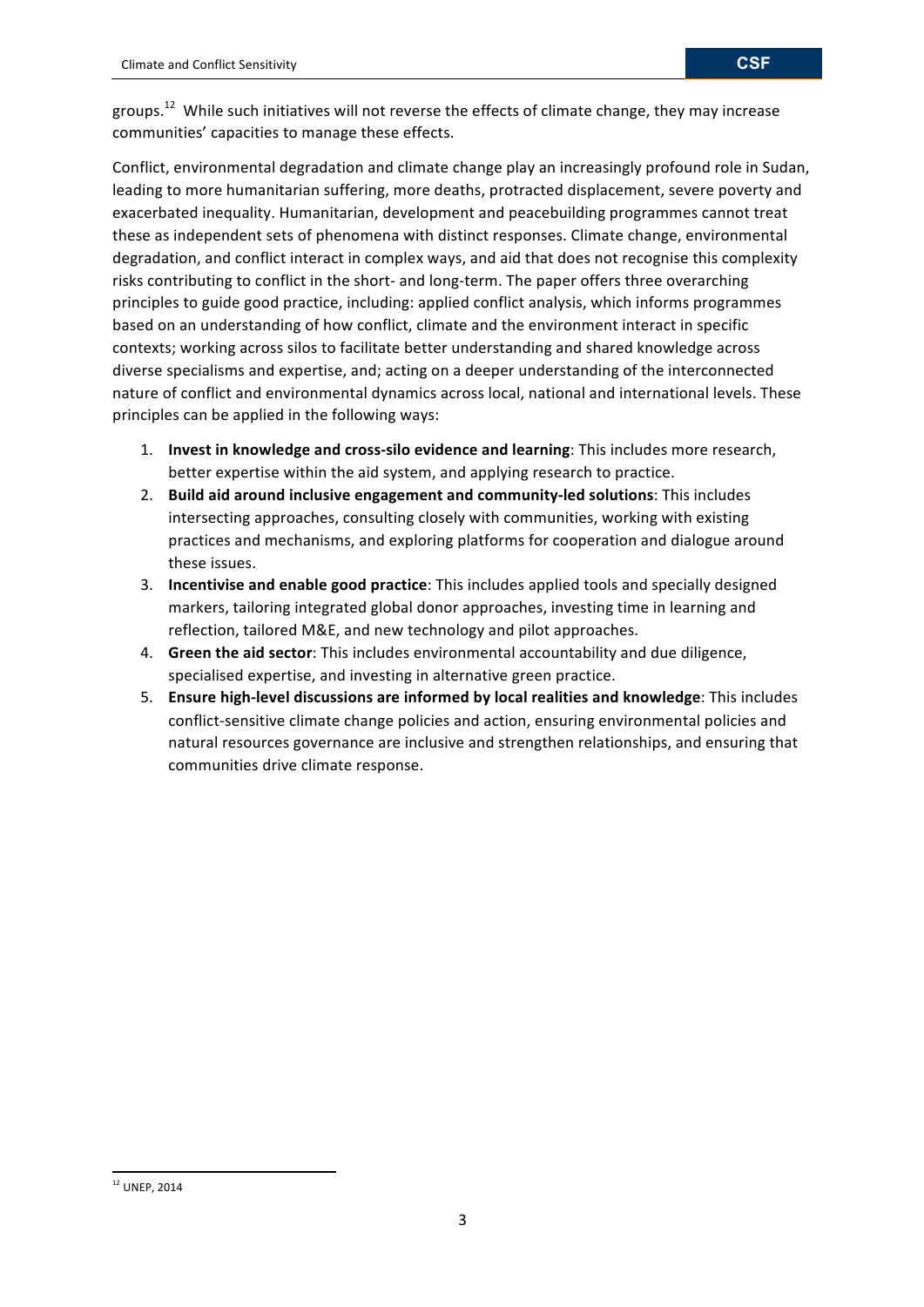groups.<sup>12</sup> While such initiatives will not reverse the effects of climate change, they may increase communities' capacities to manage these effects.

Conflict, environmental degradation and climate change play an increasingly profound role in Sudan, leading to more humanitarian suffering, more deaths, protracted displacement, severe poverty and exacerbated inequality. Humanitarian, development and peacebuilding programmes cannot treat these as independent sets of phenomena with distinct responses. Climate change, environmental degradation, and conflict interact in complex ways, and aid that does not recognise this complexity risks contributing to conflict in the short- and long-term. The paper offers three overarching principles to guide good practice, including: applied conflict analysis, which informs programmes based on an understanding of how conflict, climate and the environment interact in specific contexts; working across silos to facilitate better understanding and shared knowledge across diverse specialisms and expertise, and; acting on a deeper understanding of the interconnected nature of conflict and environmental dynamics across local, national and international levels. These principles can be applied in the following ways:

- 1. **Invest in knowledge and cross-silo evidence and learning**: This includes more research, better expertise within the aid system, and applying research to practice.
- 2. **Build aid around inclusive engagement and community-led solutions**: This includes intersecting approaches, consulting closely with communities, working with existing practices and mechanisms, and exploring platforms for cooperation and dialogue around these issues.
- 3. **Incentivise and enable good practice**: This includes applied tools and specially designed markers, tailoring integrated global donor approaches, investing time in learning and reflection, tailored M&E, and new technology and pilot approaches.
- 4. **Green the aid sector**: This includes environmental accountability and due diligence, specialised expertise, and investing in alternative green practice.
- 5. **Ensure high-level discussions are informed by local realities and knowledge**: This includes conflict-sensitive climate change policies and action, ensuring environmental policies and natural resources governance are inclusive and strengthen relationships, and ensuring that communities drive climate response.

<sup>&</sup>lt;u> 1989 - Johann Stein, fransk politiker (d. 1989)</u> <sup>12</sup> UNEP, 2014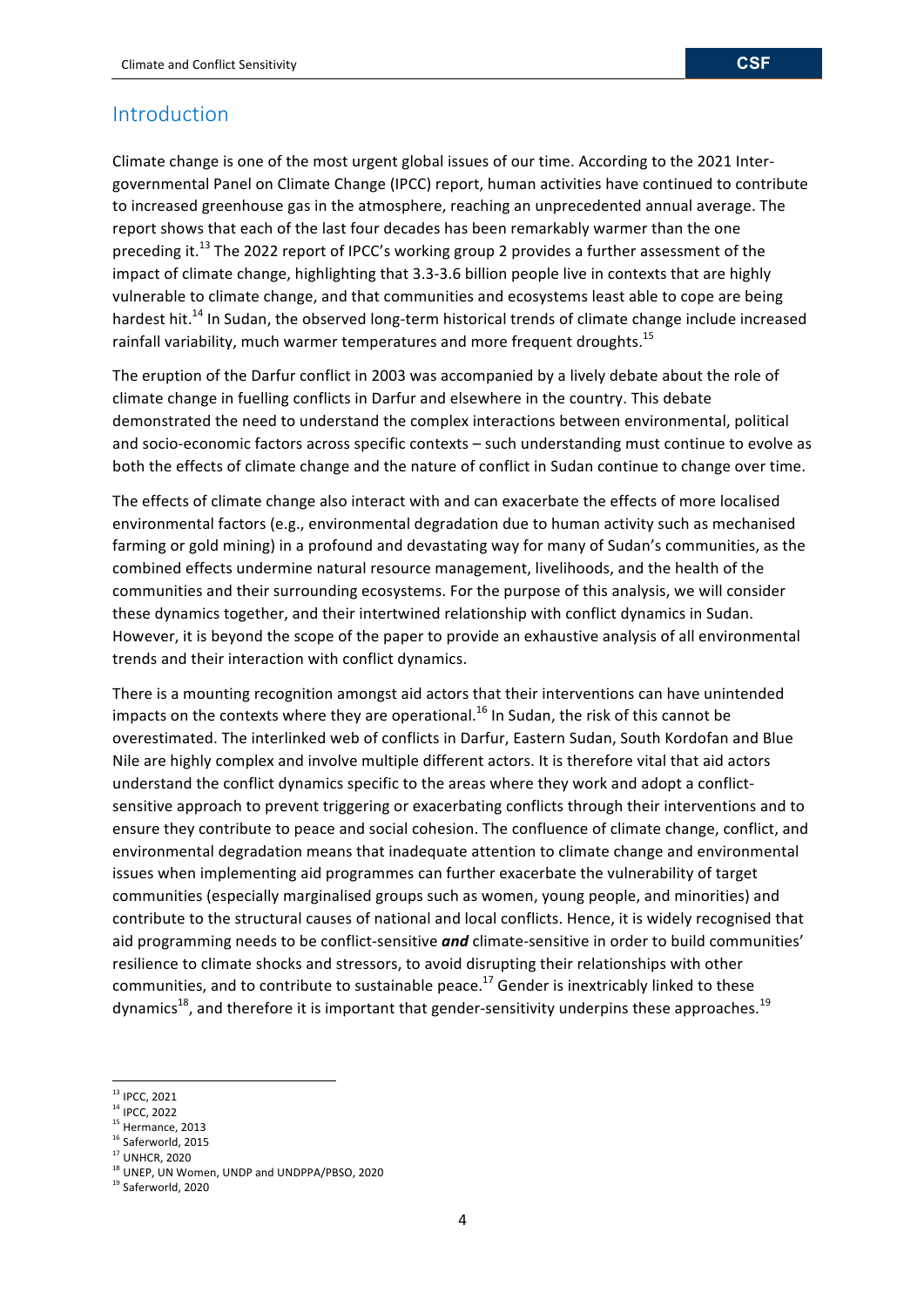## Introduction

Climate change is one of the most urgent global issues of our time. According to the 2021 Intergovernmental Panel on Climate Change (IPCC) report, human activities have continued to contribute to increased greenhouse gas in the atmosphere, reaching an unprecedented annual average. The report shows that each of the last four decades has been remarkably warmer than the one preceding it.<sup>13</sup> The 2022 report of IPCC's working group 2 provides a further assessment of the impact of climate change, highlighting that 3.3-3.6 billion people live in contexts that are highly vulnerable to climate change, and that communities and ecosystems least able to cope are being hardest hit.<sup>14</sup> In Sudan, the observed long-term historical trends of climate change include increased rainfall variability, much warmer temperatures and more frequent droughts.<sup>15</sup>

The eruption of the Darfur conflict in 2003 was accompanied by a lively debate about the role of climate change in fuelling conflicts in Darfur and elsewhere in the country. This debate demonstrated the need to understand the complex interactions between environmental, political and socio-economic factors across specific contexts – such understanding must continue to evolve as both the effects of climate change and the nature of conflict in Sudan continue to change over time.

The effects of climate change also interact with and can exacerbate the effects of more localised environmental factors (e.g., environmental degradation due to human activity such as mechanised farming or gold mining) in a profound and devastating way for many of Sudan's communities, as the combined effects undermine natural resource management, livelihoods, and the health of the communities and their surrounding ecosystems. For the purpose of this analysis, we will consider these dynamics together, and their intertwined relationship with conflict dynamics in Sudan. However, it is beyond the scope of the paper to provide an exhaustive analysis of all environmental trends and their interaction with conflict dynamics.

There is a mounting recognition amongst aid actors that their interventions can have unintended impacts on the contexts where they are operational.<sup>16</sup> In Sudan, the risk of this cannot be overestimated. The interlinked web of conflicts in Darfur, Eastern Sudan, South Kordofan and Blue Nile are highly complex and involve multiple different actors. It is therefore vital that aid actors understand the conflict dynamics specific to the areas where they work and adopt a conflictsensitive approach to prevent triggering or exacerbating conflicts through their interventions and to ensure they contribute to peace and social cohesion. The confluence of climate change, conflict, and environmental degradation means that inadequate attention to climate change and environmental issues when implementing aid programmes can further exacerbate the vulnerability of target communities (especially marginalised groups such as women, young people, and minorities) and contribute to the structural causes of national and local conflicts. Hence, it is widely recognised that aid programming needs to be conflict-sensitive *and* climate-sensitive in order to build communities' resilience to climate shocks and stressors, to avoid disrupting their relationships with other communities, and to contribute to sustainable peace.<sup>17</sup> Gender is inextricably linked to these dynamics<sup>18</sup>, and therefore it is important that gender-sensitivity underpins these approaches.<sup>19</sup>

<sup>&</sup>lt;sup>13</sup> IPCC, 2021

<sup>&</sup>lt;sup>14</sup> IPCC, 2022

<sup>&</sup>lt;sup>15</sup> Hermance, 2013

 $16$  Saferworld, 2015

<sup>&</sup>lt;sup>17</sup> UNHCR, 2020

<sup>&</sup>lt;sup>18</sup> UNEP, UN Women, UNDP and UNDPPA/PBSO, 2020

<sup>&</sup>lt;sup>19</sup> Saferworld, 2020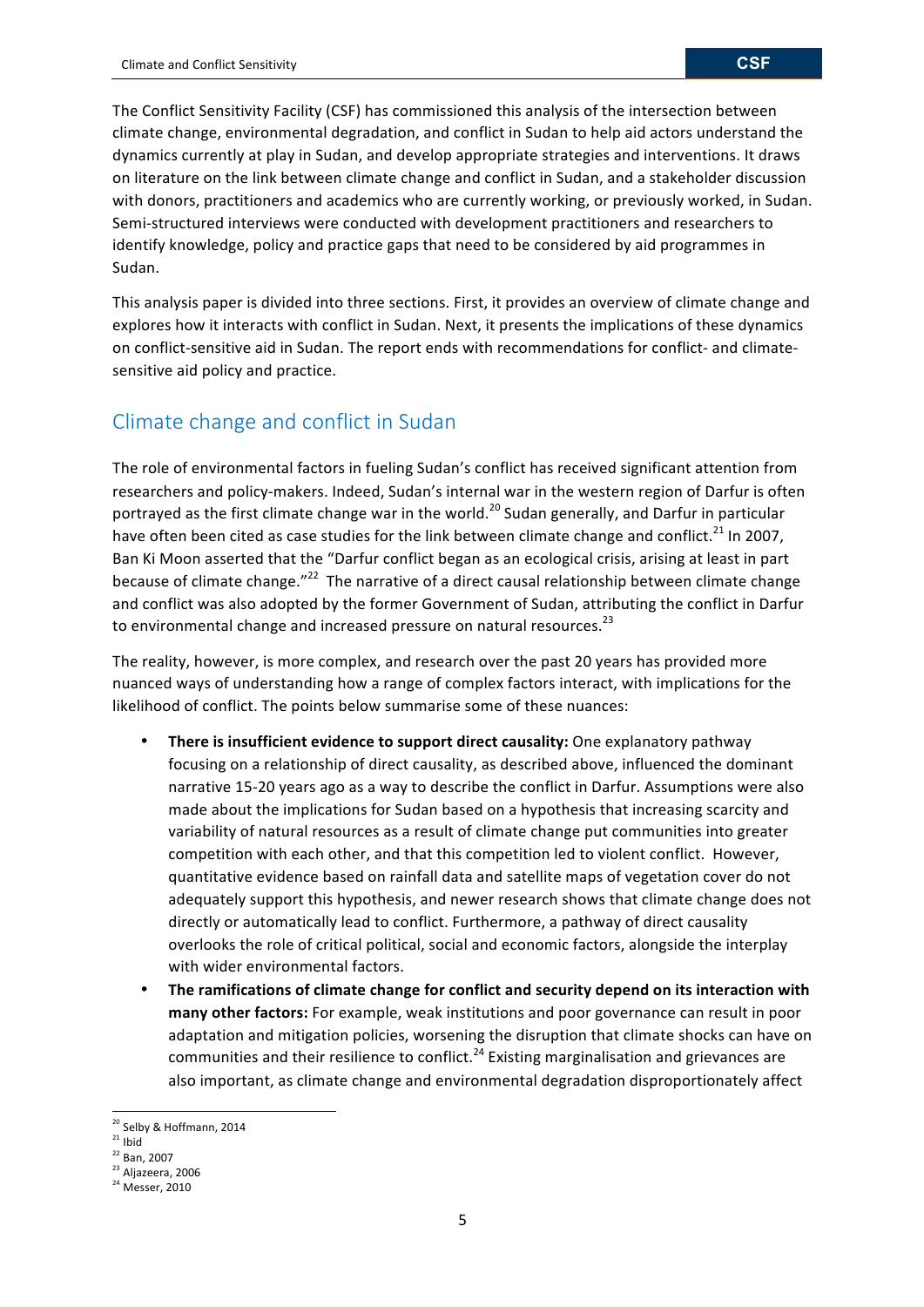The Conflict Sensitivity Facility (CSF) has commissioned this analysis of the intersection between climate change, environmental degradation, and conflict in Sudan to help aid actors understand the dynamics currently at play in Sudan, and develop appropriate strategies and interventions. It draws on literature on the link between climate change and conflict in Sudan, and a stakeholder discussion with donors, practitioners and academics who are currently working, or previously worked, in Sudan. Semi-structured interviews were conducted with development practitioners and researchers to identify knowledge, policy and practice gaps that need to be considered by aid programmes in Sudan. 

This analysis paper is divided into three sections. First, it provides an overview of climate change and explores how it interacts with conflict in Sudan. Next, it presents the implications of these dynamics on conflict-sensitive aid in Sudan. The report ends with recommendations for conflict- and climatesensitive aid policy and practice.

# Climate change and conflict in Sudan

The role of environmental factors in fueling Sudan's conflict has received significant attention from researchers and policy-makers. Indeed, Sudan's internal war in the western region of Darfur is often portrayed as the first climate change war in the world.<sup>20</sup> Sudan generally, and Darfur in particular have often been cited as case studies for the link between climate change and conflict.<sup>21</sup> In 2007, Ban Ki Moon asserted that the "Darfur conflict began as an ecological crisis, arising at least in part because of climate change."<sup>22</sup> The narrative of a direct causal relationship between climate change and conflict was also adopted by the former Government of Sudan, attributing the conflict in Darfur to environmental change and increased pressure on natural resources.<sup>23</sup>

The reality, however, is more complex, and research over the past 20 years has provided more nuanced ways of understanding how a range of complex factors interact, with implications for the likelihood of conflict. The points below summarise some of these nuances:

- There is insufficient evidence to support direct causality: One explanatory pathway focusing on a relationship of direct causality, as described above, influenced the dominant narrative 15-20 years ago as a way to describe the conflict in Darfur. Assumptions were also made about the implications for Sudan based on a hypothesis that increasing scarcity and variability of natural resources as a result of climate change put communities into greater competition with each other, and that this competition led to violent conflict. However, quantitative evidence based on rainfall data and satellite maps of vegetation cover do not adequately support this hypothesis, and newer research shows that climate change does not directly or automatically lead to conflict. Furthermore, a pathway of direct causality overlooks the role of critical political, social and economic factors, alongside the interplay with wider environmental factors.
- The ramifications of climate change for conflict and security depend on its interaction with many other factors: For example, weak institutions and poor governance can result in poor adaptation and mitigation policies, worsening the disruption that climate shocks can have on communities and their resilience to conflict.<sup>24</sup> Existing marginalisation and grievances are also important, as climate change and environmental degradation disproportionately affect

<sup>&</sup>lt;sup>20</sup> Selby & Hoffmann, 2014

 $21$  Ibid

<sup>&</sup>lt;sup>22</sup> Ban, 2007

<sup>&</sup>lt;sup>23</sup> Aljazeera, 2006

 $24$  Messer, 2010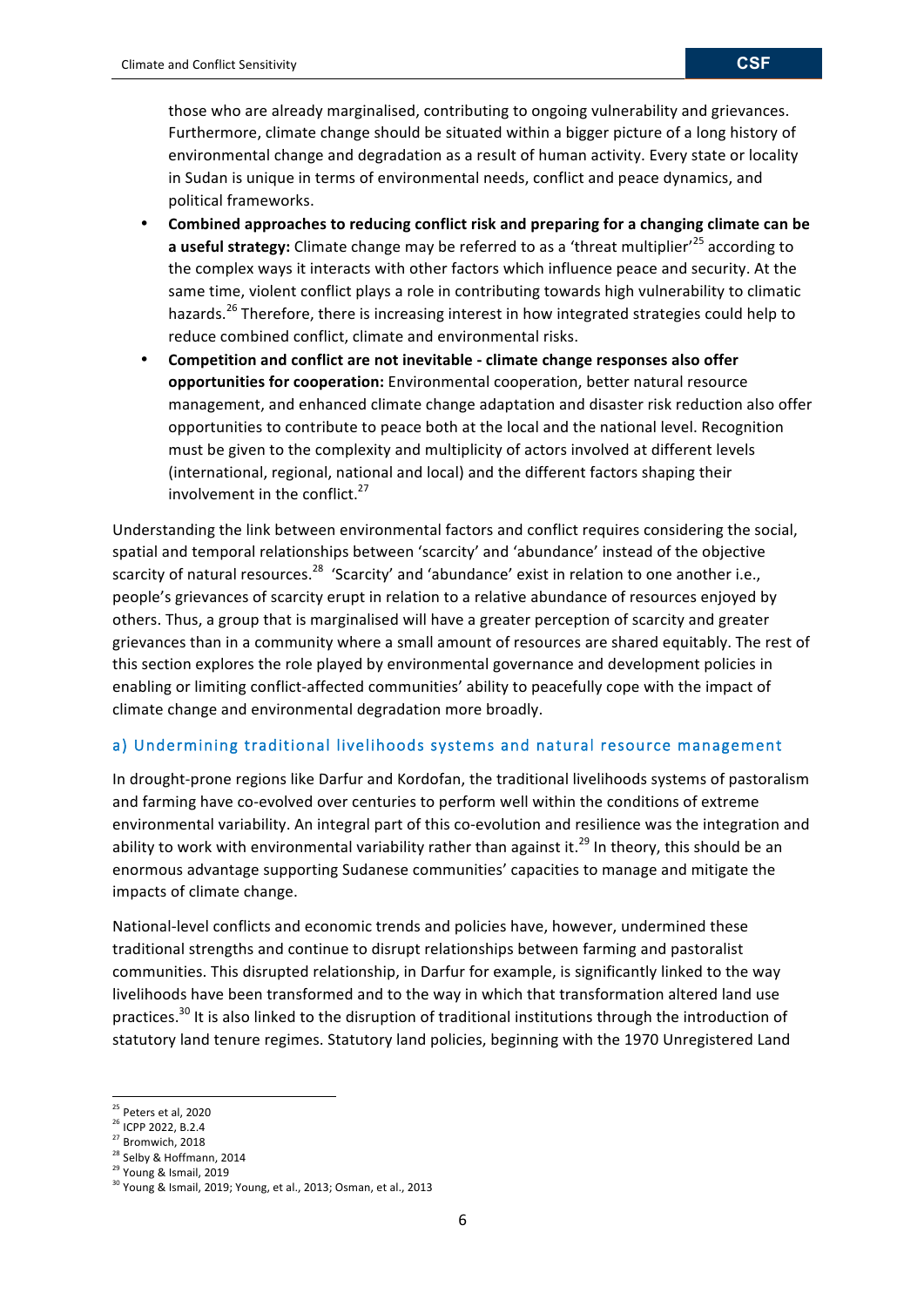those who are already marginalised, contributing to ongoing vulnerability and grievances. Furthermore, climate change should be situated within a bigger picture of a long history of environmental change and degradation as a result of human activity. Every state or locality in Sudan is unique in terms of environmental needs, conflict and peace dynamics, and political frameworks.

- Combined approaches to reducing conflict risk and preparing for a changing climate can be **a** useful strategy: Climate change may be referred to as a 'threat multiplier'<sup>25</sup> according to the complex ways it interacts with other factors which influence peace and security. At the same time, violent conflict plays a role in contributing towards high vulnerability to climatic hazards.<sup>26</sup> Therefore, there is increasing interest in how integrated strategies could help to reduce combined conflict, climate and environmental risks.
- **Competition and conflict are not inevitable - climate change responses also offer opportunities for cooperation:** Environmental cooperation, better natural resource management, and enhanced climate change adaptation and disaster risk reduction also offer opportunities to contribute to peace both at the local and the national level. Recognition must be given to the complexity and multiplicity of actors involved at different levels (international, regional, national and local) and the different factors shaping their involvement in the conflict.<sup>27</sup>

Understanding the link between environmental factors and conflict requires considering the social, spatial and temporal relationships between 'scarcity' and 'abundance' instead of the objective scarcity of natural resources.<sup>28</sup> 'Scarcity' and 'abundance' exist in relation to one another i.e., people's grievances of scarcity erupt in relation to a relative abundance of resources enjoyed by others. Thus, a group that is marginalised will have a greater perception of scarcity and greater grievances than in a community where a small amount of resources are shared equitably. The rest of this section explores the role played by environmental governance and development policies in enabling or limiting conflict-affected communities' ability to peacefully cope with the impact of climate change and environmental degradation more broadly.

## a) Undermining traditional livelihoods systems and natural resource management

In drought-prone regions like Darfur and Kordofan, the traditional livelihoods systems of pastoralism and farming have co-evolved over centuries to perform well within the conditions of extreme environmental variability. An integral part of this co-evolution and resilience was the integration and ability to work with environmental variability rather than against it.<sup>29</sup> In theory, this should be an enormous advantage supporting Sudanese communities' capacities to manage and mitigate the impacts of climate change.

National-level conflicts and economic trends and policies have, however, undermined these traditional strengths and continue to disrupt relationships between farming and pastoralist communities. This disrupted relationship, in Darfur for example, is significantly linked to the way livelihoods have been transformed and to the way in which that transformation altered land use practices.<sup>30</sup> It is also linked to the disruption of traditional institutions through the introduction of statutory land tenure regimes. Statutory land policies, beginning with the 1970 Unregistered Land

<sup>&</sup>lt;u> 1989 - Johann Stein, fransk politiker (d. 1989)</u>  $25$  Peters et al, 2020

<sup>&</sup>lt;sup>26</sup> ICPP 2022, B.2.4

<sup>&</sup>lt;sup>27</sup> Bromwich, 2018

<sup>&</sup>lt;sup>28</sup> Selby & Hoffmann, 2014

<sup>&</sup>lt;sup>29</sup> Young & Ismail, 2019

 $30$  Young & Ismail, 2019; Young, et al., 2013; Osman, et al., 2013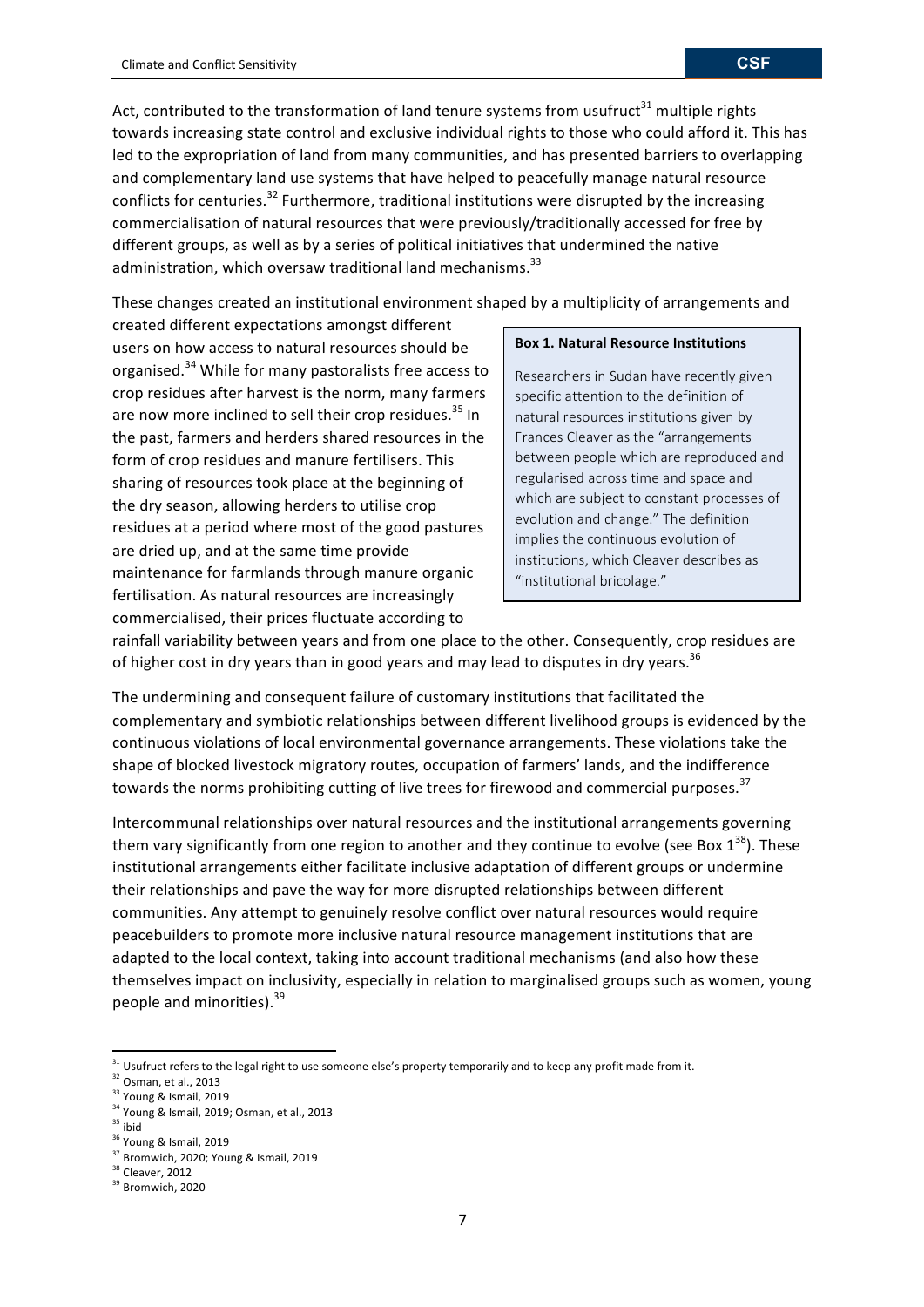Act, contributed to the transformation of land tenure systems from usufruct<sup>31</sup> multiple rights towards increasing state control and exclusive individual rights to those who could afford it. This has led to the expropriation of land from many communities, and has presented barriers to overlapping and complementary land use systems that have helped to peacefully manage natural resource conflicts for centuries.<sup>32</sup> Furthermore, traditional institutions were disrupted by the increasing commercialisation of natural resources that were previously/traditionally accessed for free by different groups, as well as by a series of political initiatives that undermined the native administration, which oversaw traditional land mechanisms.<sup>33</sup>

These changes created an institutional environment shaped by a multiplicity of arrangements and

created different expectations amongst different users on how access to natural resources should be organised.<sup>34</sup> While for many pastoralists free access to crop residues after harvest is the norm, many farmers are now more inclined to sell their crop residues.<sup>35</sup> In the past, farmers and herders shared resources in the form of crop residues and manure fertilisers. This sharing of resources took place at the beginning of the dry season, allowing herders to utilise crop residues at a period where most of the good pastures are dried up, and at the same time provide maintenance for farmlands through manure organic fertilisation. As natural resources are increasingly commercialised, their prices fluctuate according to

#### **Box 1. Natural Resource Institutions**

Researchers in Sudan have recently given specific attention to the definition of natural resources institutions given by Frances Cleaver as the "arrangements between people which are reproduced and regularised across time and space and which are subject to constant processes of evolution and change." The definition implies the continuous evolution of institutions, which Cleaver describes as "institutional bricolage."

rainfall variability between years and from one place to the other. Consequently, crop residues are of higher cost in dry years than in good years and may lead to disputes in dry years.  $^{36}$ 

The undermining and consequent failure of customary institutions that facilitated the complementary and symbiotic relationships between different livelihood groups is evidenced by the continuous violations of local environmental governance arrangements. These violations take the shape of blocked livestock migratory routes, occupation of farmers' lands, and the indifference towards the norms prohibiting cutting of live trees for firewood and commercial purposes.<sup>37</sup>

Intercommunal relationships over natural resources and the institutional arrangements governing them vary significantly from one region to another and they continue to evolve (see Box  $1^{38}$ ). These institutional arrangements either facilitate inclusive adaptation of different groups or undermine their relationships and pave the way for more disrupted relationships between different communities. Any attempt to genuinely resolve conflict over natural resources would require peacebuilders to promote more inclusive natural resource management institutions that are adapted to the local context, taking into account traditional mechanisms (and also how these themselves impact on inclusivity, especially in relation to marginalised groups such as women, young people and minorities).<sup>39</sup>

<u> 1989 - Johann Stein, fransk politiker (d. 1989)</u>

7

<sup>&</sup>lt;sup>31</sup> Usufruct refers to the legal right to use someone else's property temporarily and to keep any profit made from it.

 $32$  Osman, et al., 2013

<sup>&</sup>lt;sup>33</sup> Young & Ismail, 2019

 $34$  Young & Ismail, 2019; Osman, et al., 2013

 $35$  ibid

<sup>&</sup>lt;sup>36</sup> Young & Ismail, 2019

<sup>&</sup>lt;sup>37</sup> Bromwich, 2020; Young & Ismail, 2019

<sup>&</sup>lt;sup>38</sup> Cleaver, 2012

<sup>&</sup>lt;sup>39</sup> Bromwich, 2020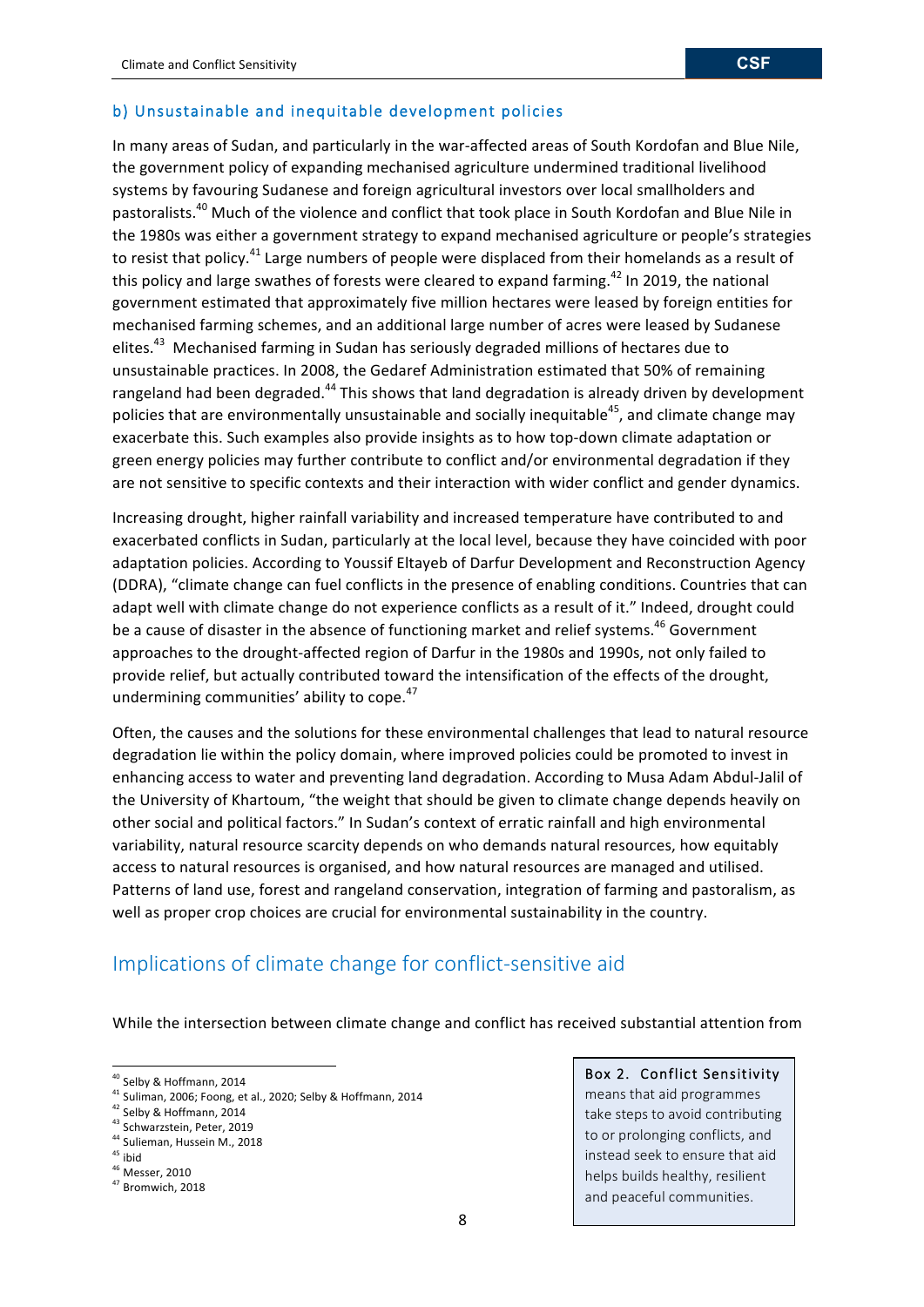## b) Unsustainable and inequitable development policies

In many areas of Sudan, and particularly in the war-affected areas of South Kordofan and Blue Nile, the government policy of expanding mechanised agriculture undermined traditional livelihood systems by favouring Sudanese and foreign agricultural investors over local smallholders and pastoralists.<sup>40</sup> Much of the violence and conflict that took place in South Kordofan and Blue Nile in the 1980s was either a government strategy to expand mechanised agriculture or people's strategies to resist that policy.<sup>41</sup> Large numbers of people were displaced from their homelands as a result of this policy and large swathes of forests were cleared to expand farming.<sup>42</sup> In 2019, the national government estimated that approximately five million hectares were leased by foreign entities for mechanised farming schemes, and an additional large number of acres were leased by Sudanese elites.<sup>43</sup> Mechanised farming in Sudan has seriously degraded millions of hectares due to unsustainable practices. In 2008, the Gedaref Administration estimated that 50% of remaining rangeland had been degraded.<sup>44</sup> This shows that land degradation is already driven by development policies that are environmentally unsustainable and socially inequitable<sup>45</sup>, and climate change may exacerbate this. Such examples also provide insights as to how top-down climate adaptation or green energy policies may further contribute to conflict and/or environmental degradation if they are not sensitive to specific contexts and their interaction with wider conflict and gender dynamics.

Increasing drought, higher rainfall variability and increased temperature have contributed to and exacerbated conflicts in Sudan, particularly at the local level, because they have coincided with poor adaptation policies. According to Youssif Eltayeb of Darfur Development and Reconstruction Agency (DDRA), "climate change can fuel conflicts in the presence of enabling conditions. Countries that can adapt well with climate change do not experience conflicts as a result of it." Indeed, drought could be a cause of disaster in the absence of functioning market and relief systems.<sup>46</sup> Government approaches to the drought-affected region of Darfur in the 1980s and 1990s, not only failed to provide relief, but actually contributed toward the intensification of the effects of the drought, undermining communities' ability to cope.<sup>47</sup>

Often, the causes and the solutions for these environmental challenges that lead to natural resource degradation lie within the policy domain, where improved policies could be promoted to invest in enhancing access to water and preventing land degradation. According to Musa Adam Abdul-Jalil of the University of Khartoum, "the weight that should be given to climate change depends heavily on other social and political factors." In Sudan's context of erratic rainfall and high environmental variability, natural resource scarcity depends on who demands natural resources, how equitably access to natural resources is organised, and how natural resources are managed and utilised. Patterns of land use, forest and rangeland conservation, integration of farming and pastoralism, as well as proper crop choices are crucial for environmental sustainability in the country.

## Implications of climate change for conflict-sensitive aid

While the intersection between climate change and conflict has received substantial attention from

<u> 1989 - Johann Stein, fransk politiker (d. 1989)</u>

<sup>42</sup> Selby & Hoffmann, 2014

<sup>43</sup> Schwarzstein, Peter, 2019

- <sup>45</sup> ibid
- <sup>46</sup> Messer, 2010

#### Box 2. Conflict Sensitivity

means that aid programmes take steps to avoid contributing to or prolonging conflicts, and instead seek to ensure that aid helps builds healthy, resilient and peaceful communities.

<sup>&</sup>lt;sup>40</sup> Selby & Hoffmann, 2014

<sup>&</sup>lt;sup>41</sup> Suliman, 2006; Foong, et al., 2020; Selby & Hoffmann, 2014

<sup>&</sup>lt;sup>44</sup> Sulieman, Hussein M., 2018

<sup>&</sup>lt;sup>47</sup> Bromwich, 2018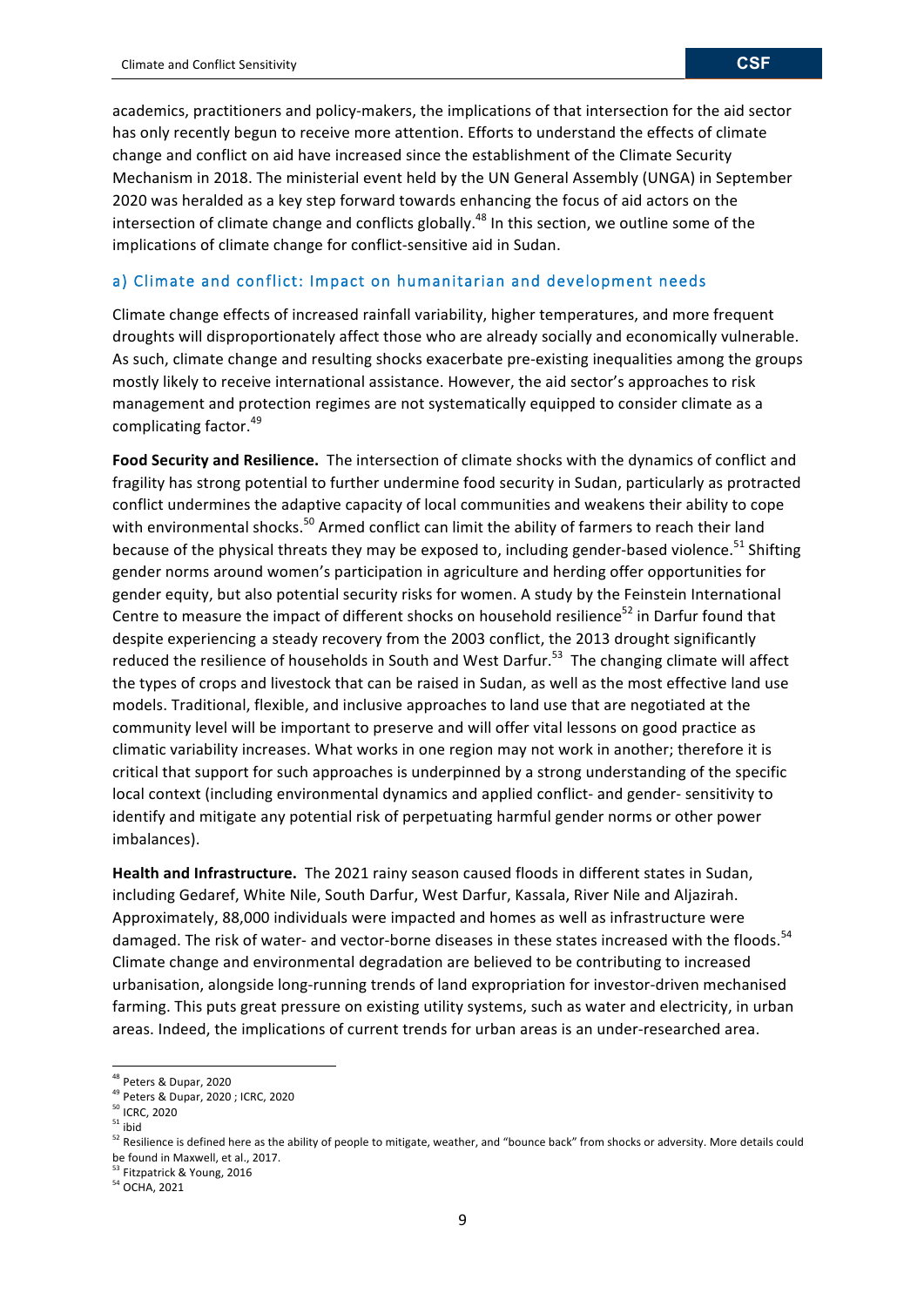academics, practitioners and policy-makers, the implications of that intersection for the aid sector has only recently begun to receive more attention. Efforts to understand the effects of climate change and conflict on aid have increased since the establishment of the Climate Security Mechanism in 2018. The ministerial event held by the UN General Assembly (UNGA) in September 2020 was heralded as a key step forward towards enhancing the focus of aid actors on the intersection of climate change and conflicts globally.<sup>48</sup> In this section, we outline some of the implications of climate change for conflict-sensitive aid in Sudan.

## a) Climate and conflict: Impact on humanitarian and development needs

Climate change effects of increased rainfall variability, higher temperatures, and more frequent droughts will disproportionately affect those who are already socially and economically vulnerable. As such, climate change and resulting shocks exacerbate pre-existing inequalities among the groups mostly likely to receive international assistance. However, the aid sector's approaches to risk management and protection regimes are not systematically equipped to consider climate as a complicating factor.<sup>49</sup>

**Food Security and Resilience.** The intersection of climate shocks with the dynamics of conflict and fragility has strong potential to further undermine food security in Sudan, particularly as protracted conflict undermines the adaptive capacity of local communities and weakens their ability to cope with environmental shocks.<sup>50</sup> Armed conflict can limit the ability of farmers to reach their land because of the physical threats they may be exposed to, including gender-based violence.<sup>51</sup> Shifting gender norms around women's participation in agriculture and herding offer opportunities for gender equity, but also potential security risks for women. A study by the Feinstein International Centre to measure the impact of different shocks on household resilience $52$  in Darfur found that despite experiencing a steady recovery from the 2003 conflict, the 2013 drought significantly reduced the resilience of households in South and West Darfur.<sup>53</sup> The changing climate will affect the types of crops and livestock that can be raised in Sudan, as well as the most effective land use models. Traditional, flexible, and inclusive approaches to land use that are negotiated at the community level will be important to preserve and will offer vital lessons on good practice as climatic variability increases. What works in one region may not work in another; therefore it is critical that support for such approaches is underpinned by a strong understanding of the specific local context (including environmental dynamics and applied conflict- and gender- sensitivity to identify and mitigate any potential risk of perpetuating harmful gender norms or other power imbalances). 

Health and Infrastructure. The 2021 rainy season caused floods in different states in Sudan, including Gedaref, White Nile, South Darfur, West Darfur, Kassala, River Nile and Aljazirah. Approximately, 88,000 individuals were impacted and homes as well as infrastructure were damaged. The risk of water- and vector-borne diseases in these states increased with the floods.<sup>54</sup> Climate change and environmental degradation are believed to be contributing to increased urbanisation, alongside long-running trends of land expropriation for investor-driven mechanised farming. This puts great pressure on existing utility systems, such as water and electricity, in urban areas. Indeed, the implications of current trends for urban areas is an under-researched area.

<u> 1989 - Johann Stein, fransk politiker (d. 1989)</u>

<sup>53</sup> Fitzpatrick & Young, 2016

<sup>54</sup> OCHA, 2021

<sup>&</sup>lt;sup>48</sup> Peters & Dupar, 2020

<sup>&</sup>lt;sup>49</sup> Peters & Dupar, 2020 ; ICRC, 2020

<sup>&</sup>lt;sup>50</sup> ICRC, 2020

 $51$  ibid

 $52$  Resilience is defined here as the ability of people to mitigate, weather, and "bounce back" from shocks or adversity. More details could be found in Maxwell, et al., 2017.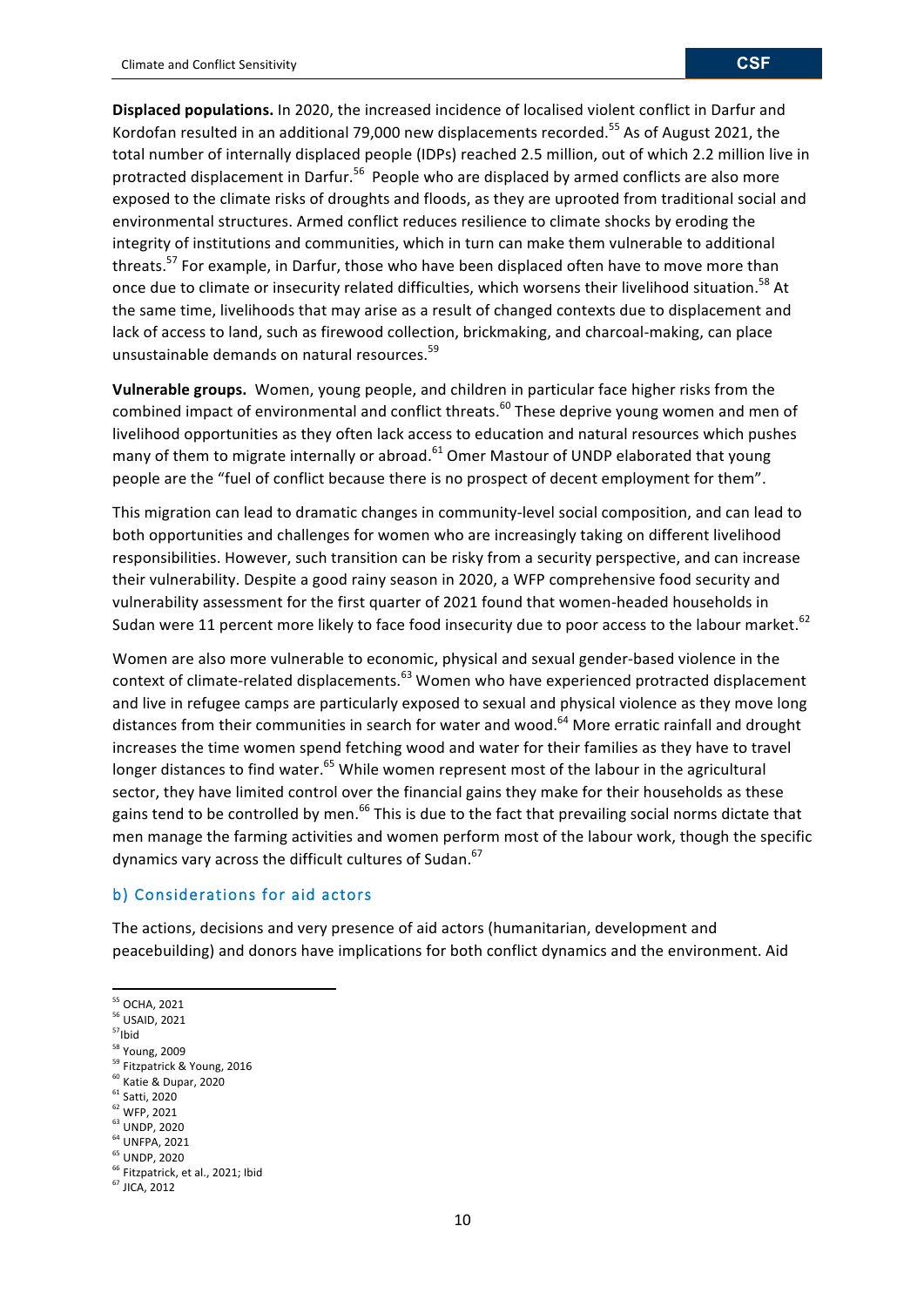**Displaced populations.** In 2020, the increased incidence of localised violent conflict in Darfur and Kordofan resulted in an additional 79,000 new displacements recorded.<sup>55</sup> As of August 2021, the total number of internally displaced people (IDPs) reached 2.5 million, out of which 2.2 million live in protracted displacement in Darfur.<sup>56</sup> People who are displaced by armed conflicts are also more exposed to the climate risks of droughts and floods, as they are uprooted from traditional social and environmental structures. Armed conflict reduces resilience to climate shocks by eroding the integrity of institutions and communities, which in turn can make them vulnerable to additional threats.<sup>57</sup> For example, in Darfur, those who have been displaced often have to move more than once due to climate or insecurity related difficulties, which worsens their livelihood situation.<sup>58</sup> At the same time, livelihoods that may arise as a result of changed contexts due to displacement and lack of access to land, such as firewood collection, brickmaking, and charcoal-making, can place unsustainable demands on natural resources.<sup>59</sup>

**Vulnerable groups.** Women, young people, and children in particular face higher risks from the combined impact of environmental and conflict threats.<sup>60</sup> These deprive young women and men of livelihood opportunities as they often lack access to education and natural resources which pushes many of them to migrate internally or abroad.<sup>61</sup> Omer Mastour of UNDP elaborated that young people are the "fuel of conflict because there is no prospect of decent employment for them".

This migration can lead to dramatic changes in community-level social composition, and can lead to both opportunities and challenges for women who are increasingly taking on different livelihood responsibilities. However, such transition can be risky from a security perspective, and can increase their vulnerability. Despite a good rainy season in 2020, a WFP comprehensive food security and vulnerability assessment for the first quarter of 2021 found that women-headed households in Sudan were 11 percent more likely to face food insecurity due to poor access to the labour market.  $^{62}$ 

Women are also more vulnerable to economic, physical and sexual gender-based violence in the context of climate-related displacements.<sup>63</sup> Women who have experienced protracted displacement and live in refugee camps are particularly exposed to sexual and physical violence as they move long distances from their communities in search for water and wood.<sup>64</sup> More erratic rainfall and drought increases the time women spend fetching wood and water for their families as they have to travel longer distances to find water.<sup>65</sup> While women represent most of the labour in the agricultural sector, they have limited control over the financial gains they make for their households as these gains tend to be controlled by men.<sup>66</sup> This is due to the fact that prevailing social norms dictate that men manage the farming activities and women perform most of the labour work, though the specific dynamics vary across the difficult cultures of Sudan.<sup>67</sup>

## b) Considerations for aid actors

<u> 1989 - Johann Stein, fransk politiker (d. 1989)</u>

The actions, decisions and very presence of aid actors (humanitarian, development and peacebuilding) and donors have implications for both conflict dynamics and the environment. Aid

<sup>58</sup> Young, 2009

- <sup>60</sup> Katie & Dupar, 2020
- $<sup>61</sup>$  Satti, 2020</sup>
- <sup>62</sup> WFP, 2021

 $64$  UNFPA, 2021 <sup>65</sup> UNDP, 2020

<sup>&</sup>lt;sup>55</sup> OCHA, 2021

<sup>&</sup>lt;sup>56</sup> USAID, 2021

 $57$ Ibid

<sup>&</sup>lt;sup>59</sup> Fitzpatrick & Young, 2016

<sup>&</sup>lt;sup>63</sup> UNDP, 2020

<sup>&</sup>lt;sup>66</sup> Fitzpatrick, et al., 2021; Ibid

 $67$  JICA, 2012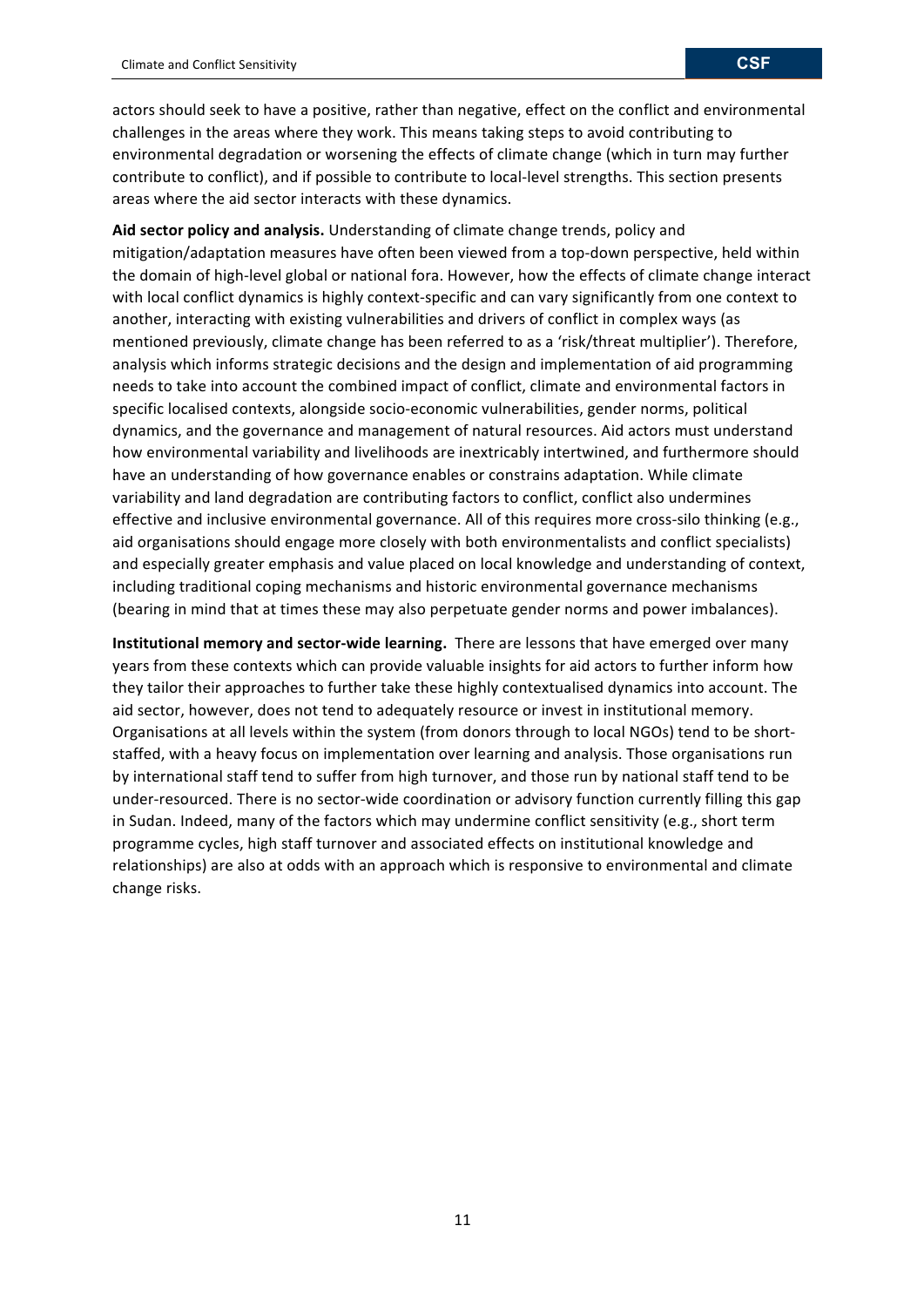actors should seek to have a positive, rather than negative, effect on the conflict and environmental challenges in the areas where they work. This means taking steps to avoid contributing to environmental degradation or worsening the effects of climate change (which in turn may further contribute to conflict), and if possible to contribute to local-level strengths. This section presents areas where the aid sector interacts with these dynamics.

Aid sector policy and analysis. Understanding of climate change trends, policy and mitigation/adaptation measures have often been viewed from a top-down perspective, held within the domain of high-level global or national fora. However, how the effects of climate change interact with local conflict dynamics is highly context-specific and can vary significantly from one context to another, interacting with existing vulnerabilities and drivers of conflict in complex ways (as mentioned previously, climate change has been referred to as a 'risk/threat multiplier'). Therefore, analysis which informs strategic decisions and the design and implementation of aid programming needs to take into account the combined impact of conflict, climate and environmental factors in specific localised contexts, alongside socio-economic vulnerabilities, gender norms, political dynamics, and the governance and management of natural resources. Aid actors must understand how environmental variability and livelihoods are inextricably intertwined, and furthermore should have an understanding of how governance enables or constrains adaptation. While climate variability and land degradation are contributing factors to conflict, conflict also undermines effective and inclusive environmental governance. All of this requires more cross-silo thinking (e.g., aid organisations should engage more closely with both environmentalists and conflict specialists) and especially greater emphasis and value placed on local knowledge and understanding of context, including traditional coping mechanisms and historic environmental governance mechanisms (bearing in mind that at times these may also perpetuate gender norms and power imbalances).

**Institutional memory and sector-wide learning.** There are lessons that have emerged over many years from these contexts which can provide valuable insights for aid actors to further inform how they tailor their approaches to further take these highly contextualised dynamics into account. The aid sector, however, does not tend to adequately resource or invest in institutional memory. Organisations at all levels within the system (from donors through to local NGOs) tend to be shortstaffed, with a heavy focus on implementation over learning and analysis. Those organisations run by international staff tend to suffer from high turnover, and those run by national staff tend to be under-resourced. There is no sector-wide coordination or advisory function currently filling this gap in Sudan. Indeed, many of the factors which may undermine conflict sensitivity (e.g., short term programme cycles, high staff turnover and associated effects on institutional knowledge and relationships) are also at odds with an approach which is responsive to environmental and climate change risks.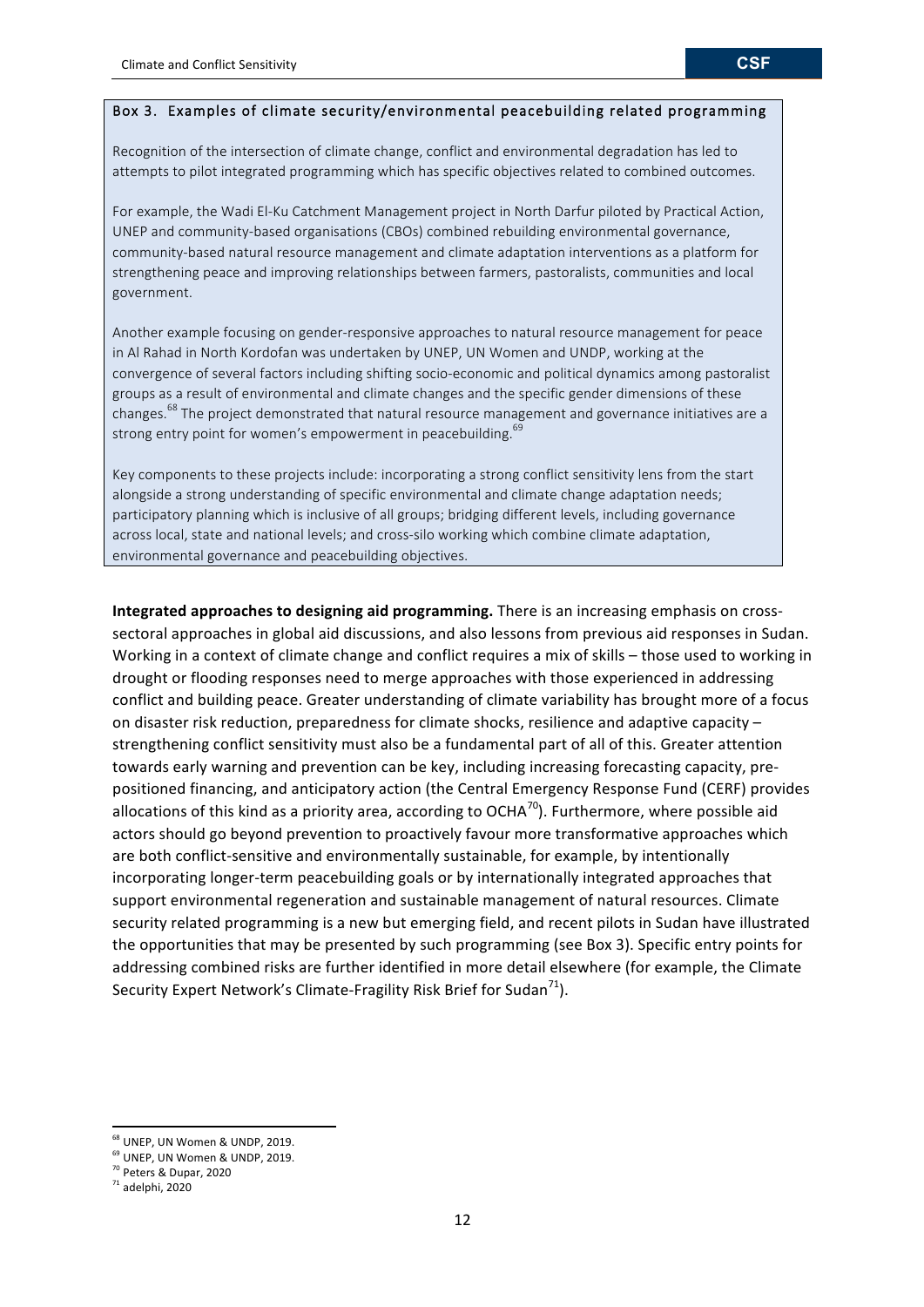## Box 3. Examples of climate security/environmental peacebuilding related programming

Recognition of the intersection of climate change, conflict and environmental degradation has led to attempts to pilot integrated programming which has specific objectives related to combined outcomes.

For example, the Wadi El-Ku Catchment Management project in North Darfur piloted by Practical Action, UNEP and community-based organisations (CBOs) combined rebuilding environmental governance, community-based natural resource management and climate adaptation interventions as a platform for strengthening peace and improving relationships between farmers, pastoralists, communities and local government.

Another example focusing on gender-responsive approaches to natural resource management for peace in Al Rahad in North Kordofan was undertaken by UNEP, UN Women and UNDP, working at the convergence of several factors including shifting socio-economic and political dynamics among pastoralist groups as a result of environmental and climate changes and the specific gender dimensions of these changes.<sup>68</sup> The project demonstrated that natural resource management and governance initiatives are a strong entry point for women's empowerment in peacebuilding.<sup>69</sup>

Key components to these projects include: incorporating a strong conflict sensitivity lens from the start alongside a strong understanding of specific environmental and climate change adaptation needs; participatory planning which is inclusive of all groups; bridging different levels, including governance across local, state and national levels; and cross-silo working which combine climate adaptation, environmental governance and peacebuilding objectives.

**Integrated approaches to designing aid programming.** There is an increasing emphasis on crosssectoral approaches in global aid discussions, and also lessons from previous aid responses in Sudan. Working in a context of climate change and conflict requires a mix of skills - those used to working in drought or flooding responses need to merge approaches with those experienced in addressing conflict and building peace. Greater understanding of climate variability has brought more of a focus on disaster risk reduction, preparedness for climate shocks, resilience and adaptive capacity  $$ strengthening conflict sensitivity must also be a fundamental part of all of this. Greater attention towards early warning and prevention can be key, including increasing forecasting capacity, prepositioned financing, and anticipatory action (the Central Emergency Response Fund (CERF) provides allocations of this kind as a priority area, according to OCHA<sup>70</sup>). Furthermore, where possible aid actors should go beyond prevention to proactively favour more transformative approaches which are both conflict-sensitive and environmentally sustainable, for example, by intentionally incorporating longer-term peacebuilding goals or by internationally integrated approaches that support environmental regeneration and sustainable management of natural resources. Climate security related programming is a new but emerging field, and recent pilots in Sudan have illustrated the opportunities that may be presented by such programming (see Box 3). Specific entry points for addressing combined risks are further identified in more detail elsewhere (for example, the Climate Security Expert Network's Climate-Fragility Risk Brief for Sudan<sup>71</sup>).

 $68$  UNEP, UN Women & UNDP, 2019.

<sup>&</sup>lt;sup>69</sup> UNEP, UN Women & UNDP, 2019.

<sup>&</sup>lt;sup>70</sup> Peters & Dupar, 2020

 $71$  adelphi, 2020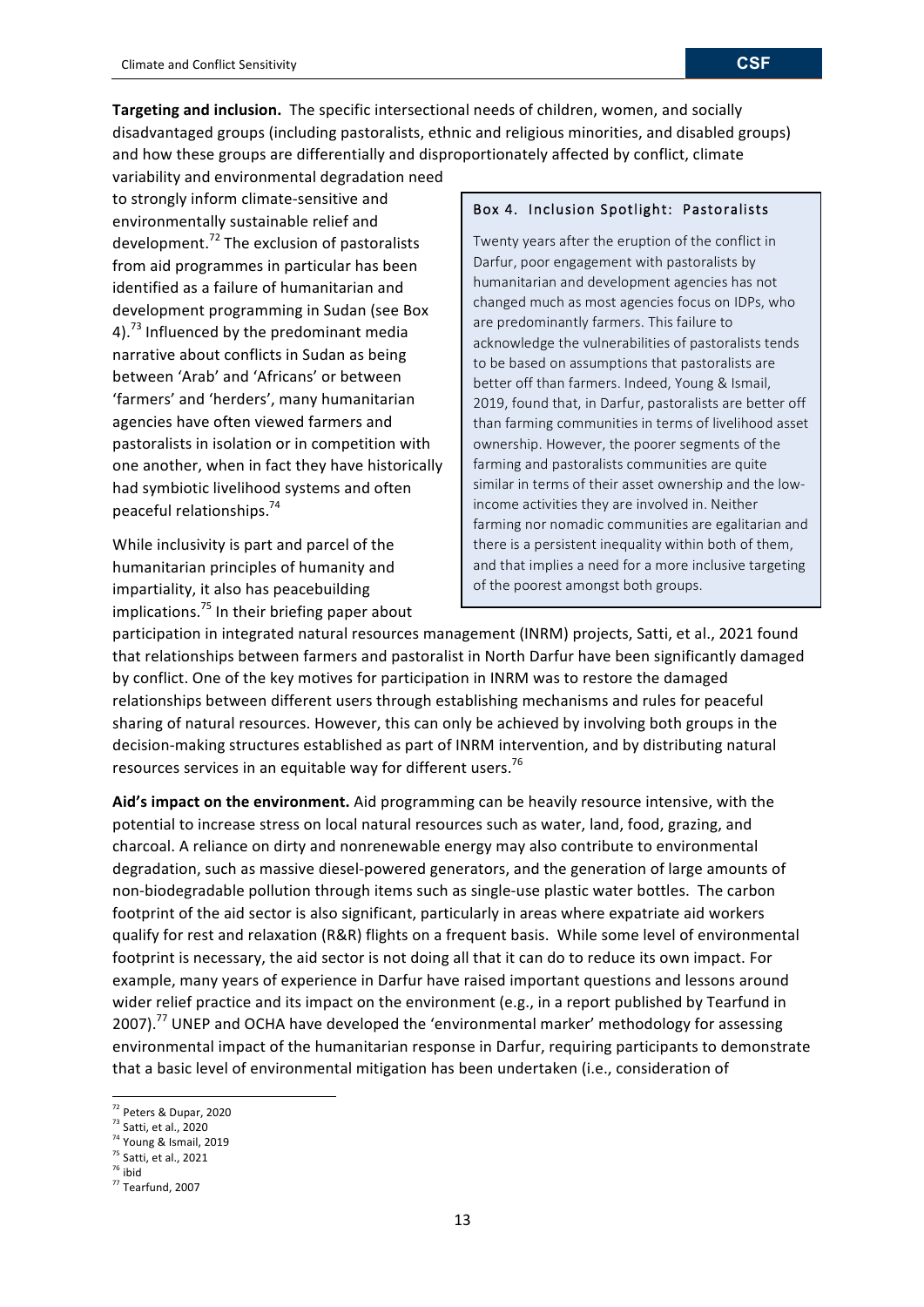**Targeting and inclusion.** The specific intersectional needs of children, women, and socially disadvantaged groups (including pastoralists, ethnic and religious minorities, and disabled groups) and how these groups are differentially and disproportionately affected by conflict, climate

variability and environmental degradation need to strongly inform climate-sensitive and environmentally sustainable relief and development.<sup>72</sup> The exclusion of pastoralists from aid programmes in particular has been identified as a failure of humanitarian and development programming in Sudan (see Box 4).<sup>73</sup> Influenced by the predominant media narrative about conflicts in Sudan as being between 'Arab' and 'Africans' or between 'farmers' and 'herders', many humanitarian agencies have often viewed farmers and pastoralists in isolation or in competition with one another, when in fact they have historically had symbiotic livelihood systems and often peaceful relationships.<sup>74</sup>

While inclusivity is part and parcel of the humanitarian principles of humanity and impartiality, it also has peacebuilding implications.<sup>75</sup> In their briefing paper about

#### Box 4. Inclusion Spotlight: Pastoralists

Twenty years after the eruption of the conflict in Darfur, poor engagement with pastoralists by humanitarian and development agencies has not changed much as most agencies focus on IDPs, who are predominantly farmers. This failure to acknowledge the vulnerabilities of pastoralists tends to be based on assumptions that pastoralists are better off than farmers. Indeed, Young & Ismail, 2019, found that, in Darfur, pastoralists are better off than farming communities in terms of livelihood asset ownership. However, the poorer segments of the farming and pastoralists communities are quite similar in terms of their asset ownership and the lowincome activities they are involved in. Neither farming nor nomadic communities are egalitarian and there is a persistent inequality within both of them, and that implies a need for a more inclusive targeting of the poorest amongst both groups.

participation in integrated natural resources management (INRM) projects, Satti, et al., 2021 found that relationships between farmers and pastoralist in North Darfur have been significantly damaged by conflict. One of the key motives for participation in INRM was to restore the damaged relationships between different users through establishing mechanisms and rules for peaceful sharing of natural resources. However, this can only be achieved by involving both groups in the decision-making structures established as part of INRM intervention, and by distributing natural resources services in an equitable way for different users.<sup>76</sup>

Aid's impact on the environment. Aid programming can be heavily resource intensive, with the potential to increase stress on local natural resources such as water, land, food, grazing, and charcoal. A reliance on dirty and nonrenewable energy may also contribute to environmental degradation, such as massive diesel-powered generators, and the generation of large amounts of non-biodegradable pollution through items such as single-use plastic water bottles. The carbon footprint of the aid sector is also significant, particularly in areas where expatriate aid workers qualify for rest and relaxation (R&R) flights on a frequent basis. While some level of environmental footprint is necessary, the aid sector is not doing all that it can do to reduce its own impact. For example, many years of experience in Darfur have raised important questions and lessons around wider relief practice and its impact on the environment (e.g., in a report published by Tearfund in 2007).<sup>77</sup> UNEP and OCHA have developed the 'environmental marker' methodology for assessing environmental impact of the humanitarian response in Darfur, requiring participants to demonstrate that a basic level of environmental mitigation has been undertaken (i.e., consideration of

<sup>72</sup> Peters & Dupar, 2020

 $73$  Satti, et al., 2020

 $74$  Young & Ismail, 2019

 $75$  Satti, et al., 2021

 $76$  ibid

 $77$  Tearfund, 2007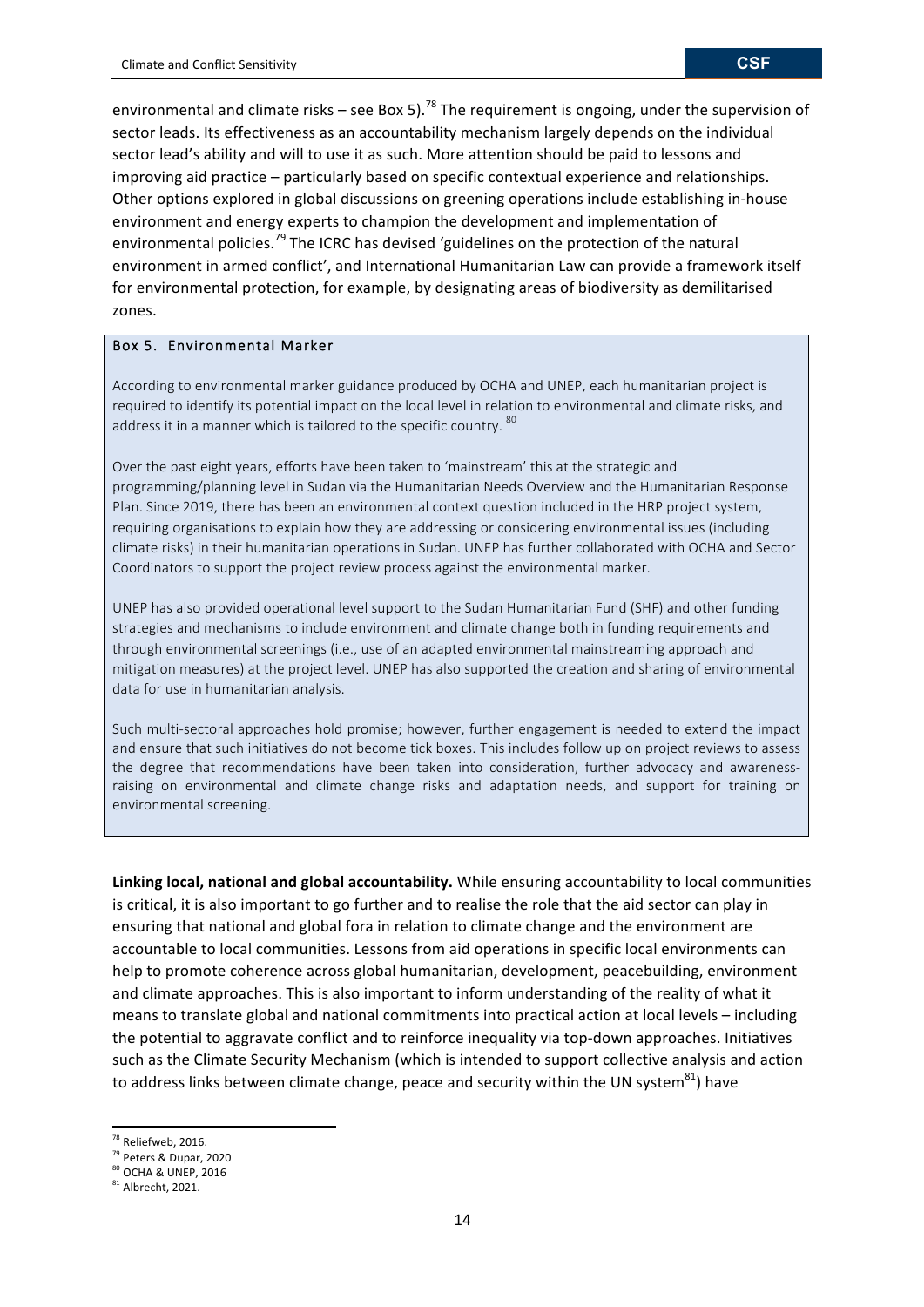environmental and climate risks – see Box 5).<sup>78</sup> The requirement is ongoing, under the supervision of sector leads. Its effectiveness as an accountability mechanism largely depends on the individual sector lead's ability and will to use it as such. More attention should be paid to lessons and improving aid practice – particularly based on specific contextual experience and relationships. Other options explored in global discussions on greening operations include establishing in-house environment and energy experts to champion the development and implementation of environmental policies.<sup>79</sup> The ICRC has devised 'guidelines on the protection of the natural environment in armed conflict', and International Humanitarian Law can provide a framework itself for environmental protection, for example, by designating areas of biodiversity as demilitarised zones.

## Box 5. Environmental Marker

According to environmental marker guidance produced by OCHA and UNEP, each humanitarian project is required to identify its potential impact on the local level in relation to environmental and climate risks, and address it in a manner which is tailored to the specific country. 80

Over the past eight years, efforts have been taken to 'mainstream' this at the strategic and programming/planning level in Sudan via the Humanitarian Needs Overview and the Humanitarian Response Plan. Since 2019, there has been an environmental context question included in the HRP project system, requiring organisations to explain how they are addressing or considering environmental issues (including climate risks) in their humanitarian operations in Sudan. UNEP has further collaborated with OCHA and Sector Coordinators to support the project review process against the environmental marker.

UNEP has also provided operational level support to the Sudan Humanitarian Fund (SHF) and other funding strategies and mechanisms to include environment and climate change both in funding requirements and through environmental screenings (i.e., use of an adapted environmental mainstreaming approach and mitigation measures) at the project level. UNEP has also supported the creation and sharing of environmental data for use in humanitarian analysis.

Such multi-sectoral approaches hold promise; however, further engagement is needed to extend the impact and ensure that such initiatives do not become tick boxes. This includes follow up on project reviews to assess the degree that recommendations have been taken into consideration, further advocacy and awarenessraising on environmental and climate change risks and adaptation needs, and support for training on environmental screening.

Linking local, national and global accountability. While ensuring accountability to local communities is critical, it is also important to go further and to realise the role that the aid sector can play in ensuring that national and global fora in relation to climate change and the environment are accountable to local communities. Lessons from aid operations in specific local environments can help to promote coherence across global humanitarian, development, peacebuilding, environment and climate approaches. This is also important to inform understanding of the reality of what it means to translate global and national commitments into practical action at local levels – including the potential to aggravate conflict and to reinforce inequality via top-down approaches. Initiatives such as the Climate Security Mechanism (which is intended to support collective analysis and action to address links between climate change, peace and security within the UN system<sup>81</sup>) have

<sup>&</sup>lt;sup>78</sup> Reliefweb, 2016.

<sup>79</sup> Peters & Dupar, 2020

<sup>&</sup>lt;sup>80</sup> OCHA & UNEP, 2016

 $81$  Albrecht, 2021.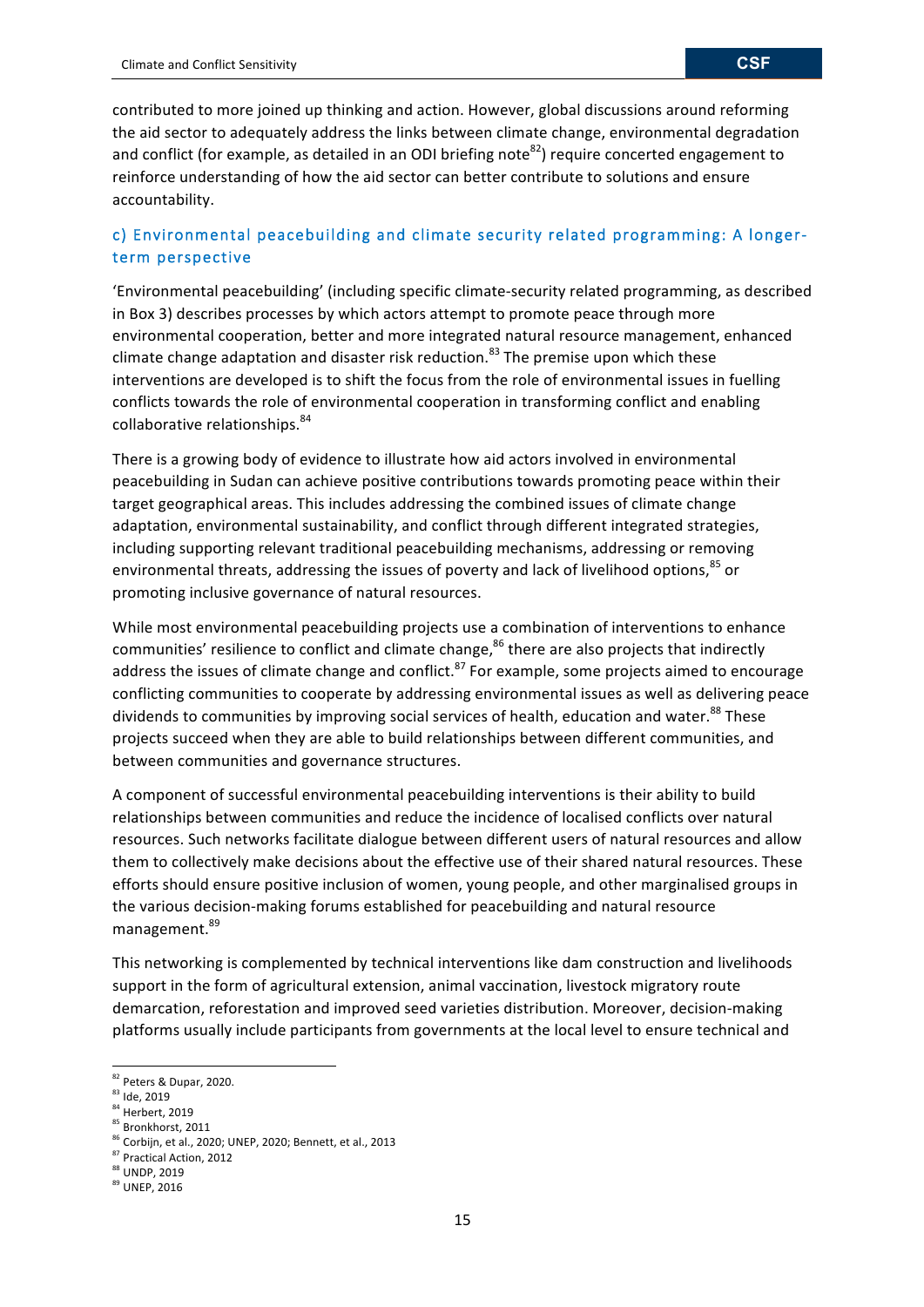contributed to more joined up thinking and action. However, global discussions around reforming the aid sector to adequately address the links between climate change, environmental degradation and conflict (for example, as detailed in an ODI briefing note<sup>82</sup>) require concerted engagement to reinforce understanding of how the aid sector can better contribute to solutions and ensure accountability.

## c) Environmental peacebuilding and climate security related programming: A longerterm perspective

'Environmental peacebuilding' (including specific climate-security related programming, as described in Box 3) describes processes by which actors attempt to promote peace through more environmental cooperation, better and more integrated natural resource management, enhanced climate change adaptation and disaster risk reduction.<sup>83</sup> The premise upon which these interventions are developed is to shift the focus from the role of environmental issues in fuelling conflicts towards the role of environmental cooperation in transforming conflict and enabling collaborative relationships.<sup>84</sup>

There is a growing body of evidence to illustrate how aid actors involved in environmental peacebuilding in Sudan can achieve positive contributions towards promoting peace within their target geographical areas. This includes addressing the combined issues of climate change adaptation, environmental sustainability, and conflict through different integrated strategies, including supporting relevant traditional peacebuilding mechanisms, addressing or removing environmental threats, addressing the issues of poverty and lack of livelihood options,<sup>85</sup> or promoting inclusive governance of natural resources.

While most environmental peacebuilding projects use a combination of interventions to enhance communities' resilience to conflict and climate change, <sup>86</sup> there are also projects that indirectly address the issues of climate change and conflict.<sup>87</sup> For example, some projects aimed to encourage conflicting communities to cooperate by addressing environmental issues as well as delivering peace dividends to communities by improving social services of health, education and water.<sup>88</sup> These projects succeed when they are able to build relationships between different communities, and between communities and governance structures.

A component of successful environmental peacebuilding interventions is their ability to build relationships between communities and reduce the incidence of localised conflicts over natural resources. Such networks facilitate dialogue between different users of natural resources and allow them to collectively make decisions about the effective use of their shared natural resources. These efforts should ensure positive inclusion of women, young people, and other marginalised groups in the various decision-making forums established for peacebuilding and natural resource management. 89

This networking is complemented by technical interventions like dam construction and livelihoods support in the form of agricultural extension, animal vaccination, livestock migratory route demarcation, reforestation and improved seed varieties distribution. Moreover, decision-making platforms usually include participants from governments at the local level to ensure technical and

<sup>82</sup> Peters & Dupar, 2020.

<sup>&</sup>lt;sup>83</sup> Ide, 2019

<sup>84</sup> Herbert, 2019

<sup>85</sup> Bronkhorst, 2011

 $86$  Corbijn, et al., 2020; UNEP, 2020; Bennett, et al., 2013

<sup>87</sup> Practical Action, 2012

<sup>88</sup> UNDP, 2019

<sup>89</sup> UNEP, 2016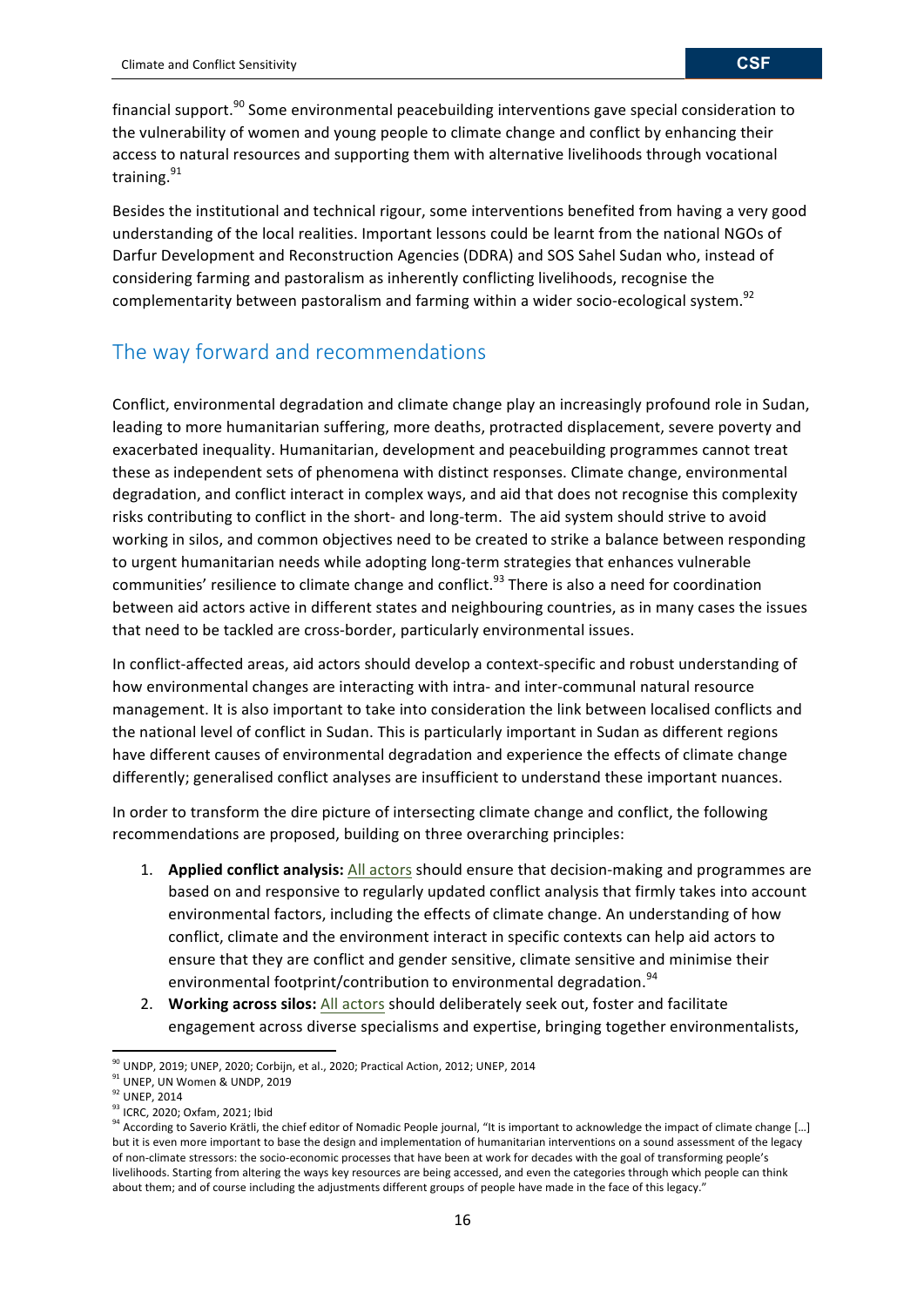financial support.<sup>90</sup> Some environmental peacebuilding interventions gave special consideration to the vulnerability of women and young people to climate change and conflict by enhancing their access to natural resources and supporting them with alternative livelihoods through vocational training. <sup>91</sup>

Besides the institutional and technical rigour, some interventions benefited from having a very good understanding of the local realities. Important lessons could be learnt from the national NGOs of Darfur Development and Reconstruction Agencies (DDRA) and SOS Sahel Sudan who, instead of considering farming and pastoralism as inherently conflicting livelihoods, recognise the complementarity between pastoralism and farming within a wider socio-ecological system.<sup>92</sup>

## The way forward and recommendations

Conflict, environmental degradation and climate change play an increasingly profound role in Sudan. leading to more humanitarian suffering, more deaths, protracted displacement, severe poverty and exacerbated inequality. Humanitarian, development and peacebuilding programmes cannot treat these as independent sets of phenomena with distinct responses. Climate change, environmental degradation, and conflict interact in complex ways, and aid that does not recognise this complexity risks contributing to conflict in the short- and long-term. The aid system should strive to avoid working in silos, and common objectives need to be created to strike a balance between responding to urgent humanitarian needs while adopting long-term strategies that enhances vulnerable communities' resilience to climate change and conflict.<sup>93</sup> There is also a need for coordination between aid actors active in different states and neighbouring countries, as in many cases the issues that need to be tackled are cross-border, particularly environmental issues.

In conflict-affected areas, aid actors should develop a context-specific and robust understanding of how environmental changes are interacting with intra- and inter-communal natural resource management. It is also important to take into consideration the link between localised conflicts and the national level of conflict in Sudan. This is particularly important in Sudan as different regions have different causes of environmental degradation and experience the effects of climate change differently; generalised conflict analyses are insufficient to understand these important nuances.

In order to transform the dire picture of intersecting climate change and conflict, the following recommendations are proposed, building on three overarching principles:

- 1. **Applied conflict analysis:** All actors should ensure that decision-making and programmes are based on and responsive to regularly updated conflict analysis that firmly takes into account environmental factors, including the effects of climate change. An understanding of how conflict, climate and the environment interact in specific contexts can help aid actors to ensure that they are conflict and gender sensitive, climate sensitive and minimise their environmental footprint/contribution to environmental degradation.<sup>94</sup>
- 2. Working across silos: All actors should deliberately seek out, foster and facilitate engagement across diverse specialisms and expertise, bringing together environmentalists,

<sup>&</sup>lt;u> 1989 - Johann Stein, fransk politiker (d. 1989)</u>  $90$  UNDP, 2019; UNEP, 2020; Corbijn, et al., 2020; Practical Action, 2012; UNEP, 2014

 $91$  UNEP, UN Women & UNDP, 2019

<sup>&</sup>lt;sup>92</sup> UNEP, 2014

<sup>93</sup> ICRC, 2020; Oxfam, 2021; Ibid

<sup>&</sup>lt;sup>94</sup> According to Saverio Krätli, the chief editor of Nomadic People journal, "It is important to acknowledge the impact of climate change [...] but it is even more important to base the design and implementation of humanitarian interventions on a sound assessment of the legacy of non-climate stressors: the socio-economic processes that have been at work for decades with the goal of transforming people's livelihoods. Starting from altering the ways key resources are being accessed, and even the categories through which people can think about them; and of course including the adjustments different groups of people have made in the face of this legacy."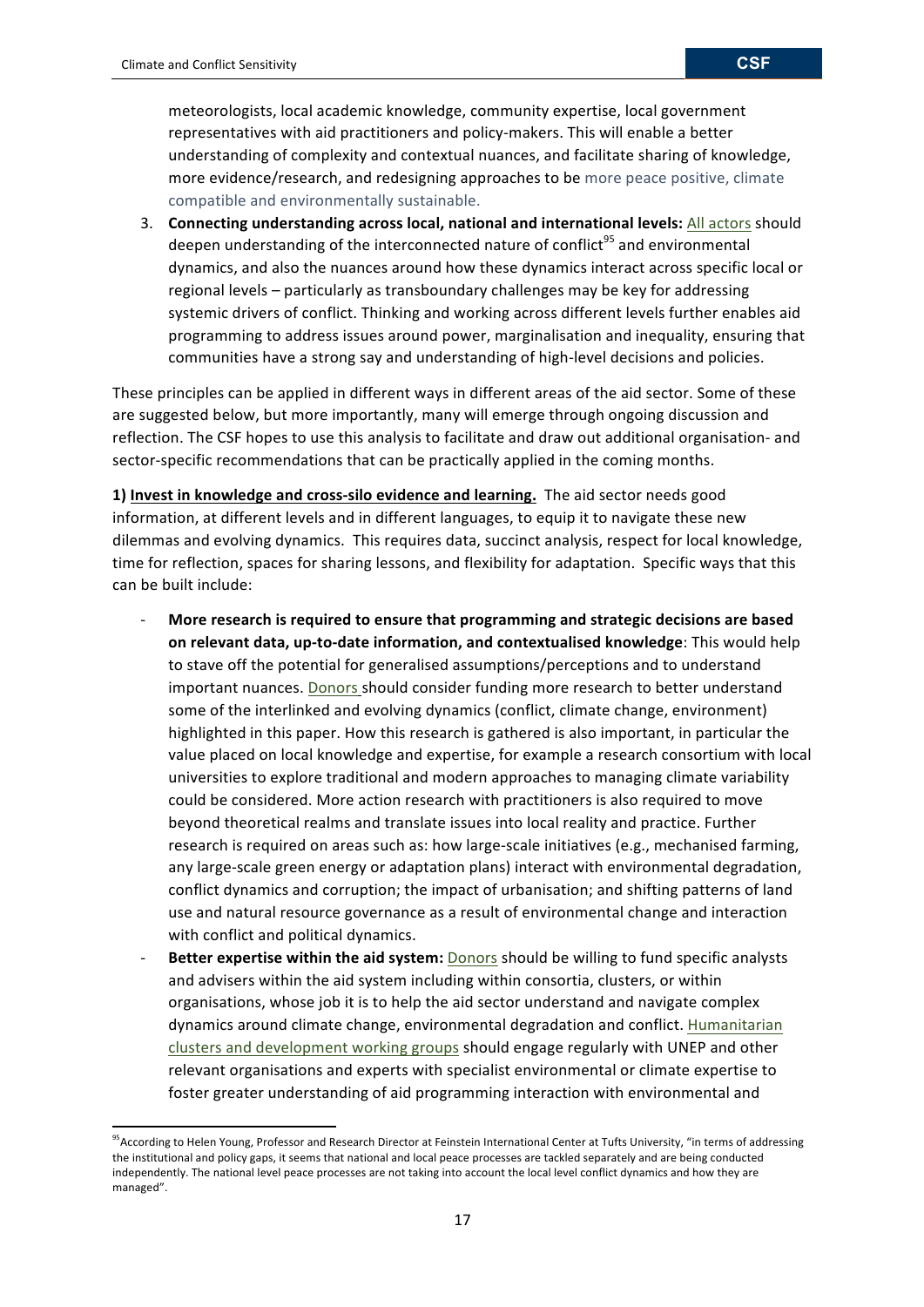<u> 1989 - Johann Stein, fransk politiker (d. 1989)</u>

meteorologists, local academic knowledge, community expertise, local government representatives with aid practitioners and policy-makers. This will enable a better understanding of complexity and contextual nuances, and facilitate sharing of knowledge, more evidence/research, and redesigning approaches to be more peace positive, climate compatible and environmentally sustainable.

3. Connecting understanding across local, national and international levels: All actors should deepen understanding of the interconnected nature of conflict<sup>95</sup> and environmental dynamics, and also the nuances around how these dynamics interact across specific local or regional levels – particularly as transboundary challenges may be key for addressing systemic drivers of conflict. Thinking and working across different levels further enables aid programming to address issues around power, marginalisation and inequality, ensuring that communities have a strong say and understanding of high-level decisions and policies.

These principles can be applied in different ways in different areas of the aid sector. Some of these are suggested below, but more importantly, many will emerge through ongoing discussion and reflection. The CSF hopes to use this analysis to facilitate and draw out additional organisation- and sector-specific recommendations that can be practically applied in the coming months.

**1)** Invest in knowledge and cross-silo evidence and learning. The aid sector needs good information, at different levels and in different languages, to equip it to navigate these new dilemmas and evolving dynamics. This requires data, succinct analysis, respect for local knowledge, time for reflection, spaces for sharing lessons, and flexibility for adaptation. Specific ways that this can be built include:

- More research is required to ensure that programming and strategic decisions are based **on relevant data, up-to-date information, and contextualised knowledge**: This would help to stave off the potential for generalised assumptions/perceptions and to understand important nuances. Donors should consider funding more research to better understand some of the interlinked and evolving dynamics (conflict, climate change, environment) highlighted in this paper. How this research is gathered is also important, in particular the value placed on local knowledge and expertise, for example a research consortium with local universities to explore traditional and modern approaches to managing climate variability could be considered. More action research with practitioners is also required to move beyond theoretical realms and translate issues into local reality and practice. Further research is required on areas such as: how large-scale initiatives (e.g., mechanised farming, any large-scale green energy or adaptation plans) interact with environmental degradation, conflict dynamics and corruption; the impact of urbanisation; and shifting patterns of land use and natural resource governance as a result of environmental change and interaction with conflict and political dynamics.
- Better expertise within the aid system: **Donors** should be willing to fund specific analysts and advisers within the aid system including within consortia, clusters, or within organisations, whose job it is to help the aid sector understand and navigate complex dynamics around climate change, environmental degradation and conflict. Humanitarian clusters and development working groups should engage regularly with UNEP and other relevant organisations and experts with specialist environmental or climate expertise to foster greater understanding of aid programming interaction with environmental and

<sup>&</sup>lt;sup>95</sup>According to Helen Young, Professor and Research Director at Feinstein International Center at Tufts University, "in terms of addressing the institutional and policy gaps, it seems that national and local peace processes are tackled separately and are being conducted independently. The national level peace processes are not taking into account the local level conflict dynamics and how they are managed".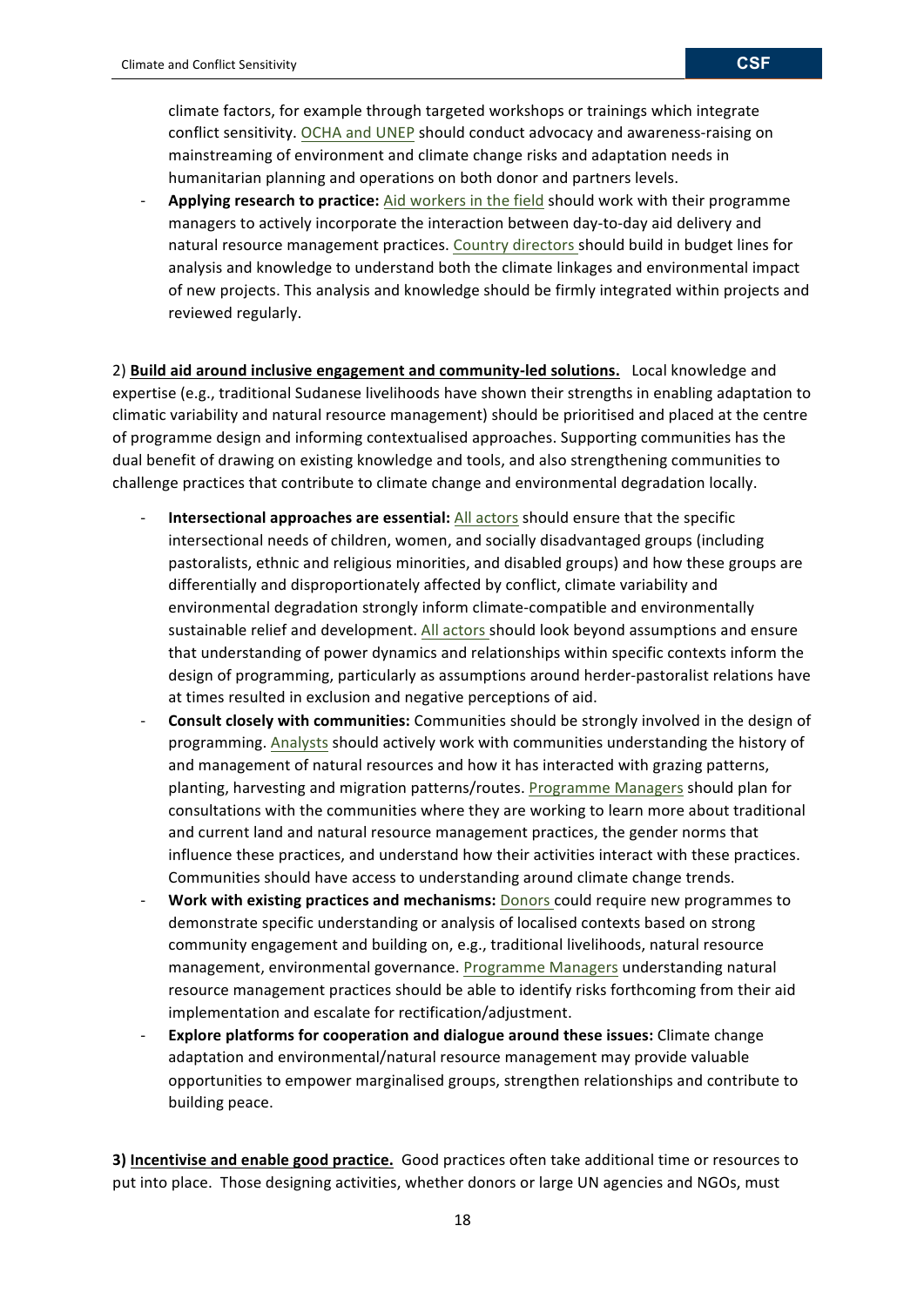Applying research to practice: Aid workers in the field should work with their programme managers to actively incorporate the interaction between day-to-day aid delivery and natural resource management practices. Country directors should build in budget lines for analysis and knowledge to understand both the climate linkages and environmental impact of new projects. This analysis and knowledge should be firmly integrated within projects and reviewed regularly.

2) Build aid around inclusive engagement and community-led solutions. Local knowledge and expertise (e.g., traditional Sudanese livelihoods have shown their strengths in enabling adaptation to climatic variability and natural resource management) should be prioritised and placed at the centre of programme design and informing contextualised approaches. Supporting communities has the dual benefit of drawing on existing knowledge and tools, and also strengthening communities to challenge practices that contribute to climate change and environmental degradation locally.

- **Intersectional approaches are essential:** All actors should ensure that the specific intersectional needs of children, women, and socially disadvantaged groups (including pastoralists, ethnic and religious minorities, and disabled groups) and how these groups are differentially and disproportionately affected by conflict, climate variability and environmental degradation strongly inform climate-compatible and environmentally sustainable relief and development. All actors should look beyond assumptions and ensure that understanding of power dynamics and relationships within specific contexts inform the design of programming, particularly as assumptions around herder-pastoralist relations have at times resulted in exclusion and negative perceptions of aid.
- Consult closely with communities: Communities should be strongly involved in the design of programming. Analysts should actively work with communities understanding the history of and management of natural resources and how it has interacted with grazing patterns, planting, harvesting and migration patterns/routes. Programme Managers should plan for consultations with the communities where they are working to learn more about traditional and current land and natural resource management practices, the gender norms that influence these practices, and understand how their activities interact with these practices. Communities should have access to understanding around climate change trends.
- **Work with existing practices and mechanisms:** Donors could require new programmes to demonstrate specific understanding or analysis of localised contexts based on strong community engagement and building on, e.g., traditional livelihoods, natural resource management, environmental governance. Programme Managers understanding natural resource management practices should be able to identify risks forthcoming from their aid implementation and escalate for rectification/adjustment.
- **Explore platforms for cooperation and dialogue around these issues:** Climate change adaptation and environmental/natural resource management may provide valuable opportunities to empower marginalised groups, strengthen relationships and contribute to building peace.

**3) Incentivise and enable good practice.** Good practices often take additional time or resources to put into place. Those designing activities, whether donors or large UN agencies and NGOs, must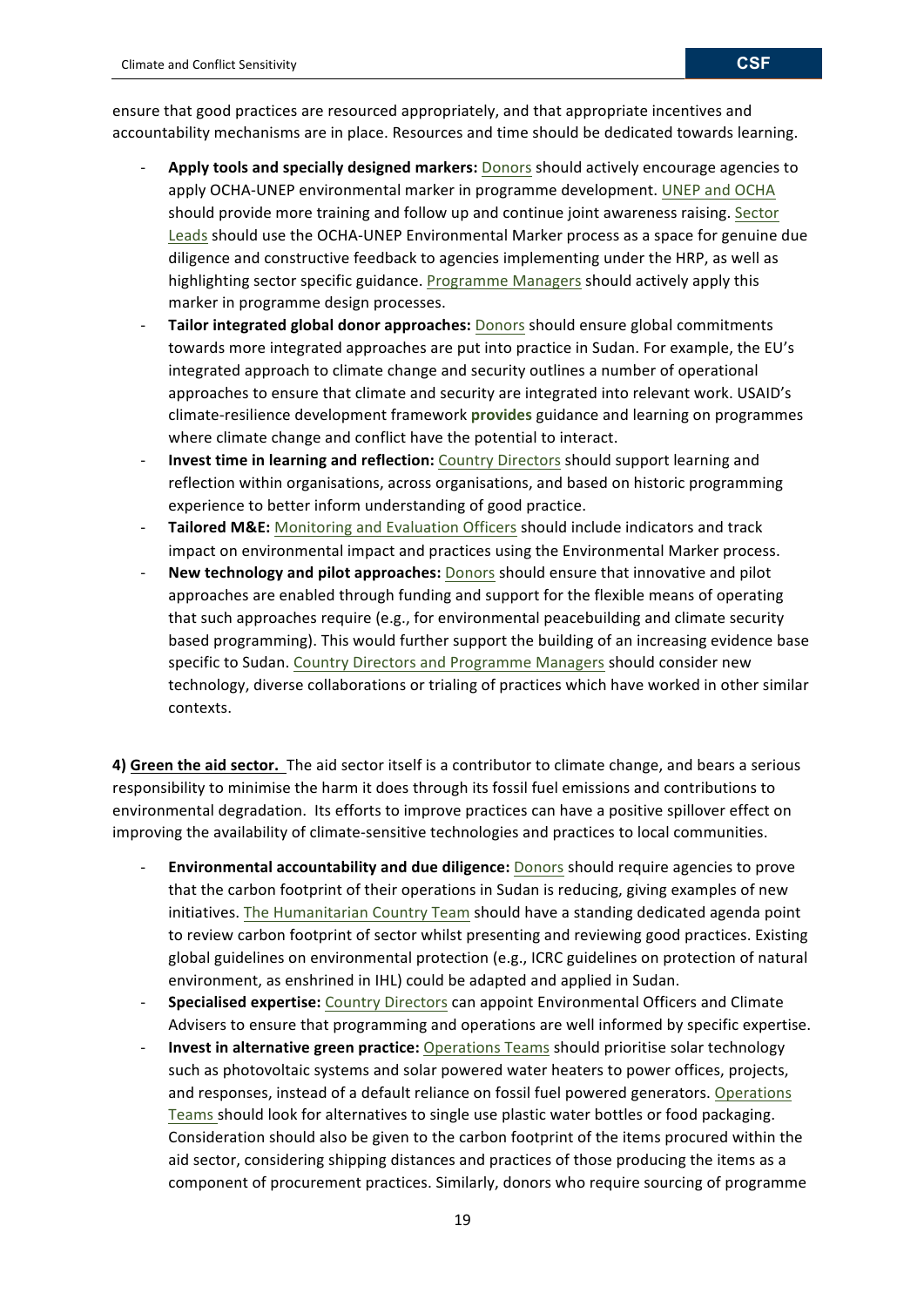ensure that good practices are resourced appropriately, and that appropriate incentives and accountability mechanisms are in place. Resources and time should be dedicated towards learning.

- Apply tools and specially designed markers: Donors should actively encourage agencies to apply OCHA-UNEP environmental marker in programme development. UNEP and OCHA should provide more training and follow up and continue joint awareness raising. Sector Leads should use the OCHA-UNEP Environmental Marker process as a space for genuine due diligence and constructive feedback to agencies implementing under the HRP, as well as highlighting sector specific guidance. Programme Managers should actively apply this marker in programme design processes.
- **Tailor integrated global donor approaches:** Donors should ensure global commitments towards more integrated approaches are put into practice in Sudan. For example, the EU's integrated approach to climate change and security outlines a number of operational approaches to ensure that climate and security are integrated into relevant work. USAID's climate-resilience development framework **provides** guidance and learning on programmes where climate change and conflict have the potential to interact.
- **Invest time in learning and reflection:** Country Directors should support learning and reflection within organisations, across organisations, and based on historic programming experience to better inform understanding of good practice.
- **Tailored M&E:** Monitoring and Evaluation Officers should include indicators and track impact on environmental impact and practices using the Environmental Marker process.
- **New technology and pilot approaches:** Donors should ensure that innovative and pilot approaches are enabled through funding and support for the flexible means of operating that such approaches require (e.g., for environmental peacebuilding and climate security based programming). This would further support the building of an increasing evidence base specific to Sudan. Country Directors and Programme Managers should consider new technology, diverse collaborations or trialing of practices which have worked in other similar contexts.

**4)** Green the aid sector. The aid sector itself is a contributor to climate change, and bears a serious responsibility to minimise the harm it does through its fossil fuel emissions and contributions to environmental degradation. Its efforts to improve practices can have a positive spillover effect on improving the availability of climate-sensitive technologies and practices to local communities.

- **Environmental accountability and due diligence:** Donors should require agencies to prove that the carbon footprint of their operations in Sudan is reducing, giving examples of new initiatives. The Humanitarian Country Team should have a standing dedicated agenda point to review carbon footprint of sector whilst presenting and reviewing good practices. Existing global guidelines on environmental protection (e.g., ICRC guidelines on protection of natural environment, as enshrined in IHL) could be adapted and applied in Sudan.
- **Specialised expertise:** Country Directors can appoint Environmental Officers and Climate Advisers to ensure that programming and operations are well informed by specific expertise.
- **Invest in alternative green practice:** Operations Teams should prioritise solar technology such as photovoltaic systems and solar powered water heaters to power offices, projects, and responses, instead of a default reliance on fossil fuel powered generators. Operations Teams should look for alternatives to single use plastic water bottles or food packaging. Consideration should also be given to the carbon footprint of the items procured within the aid sector, considering shipping distances and practices of those producing the items as a component of procurement practices. Similarly, donors who require sourcing of programme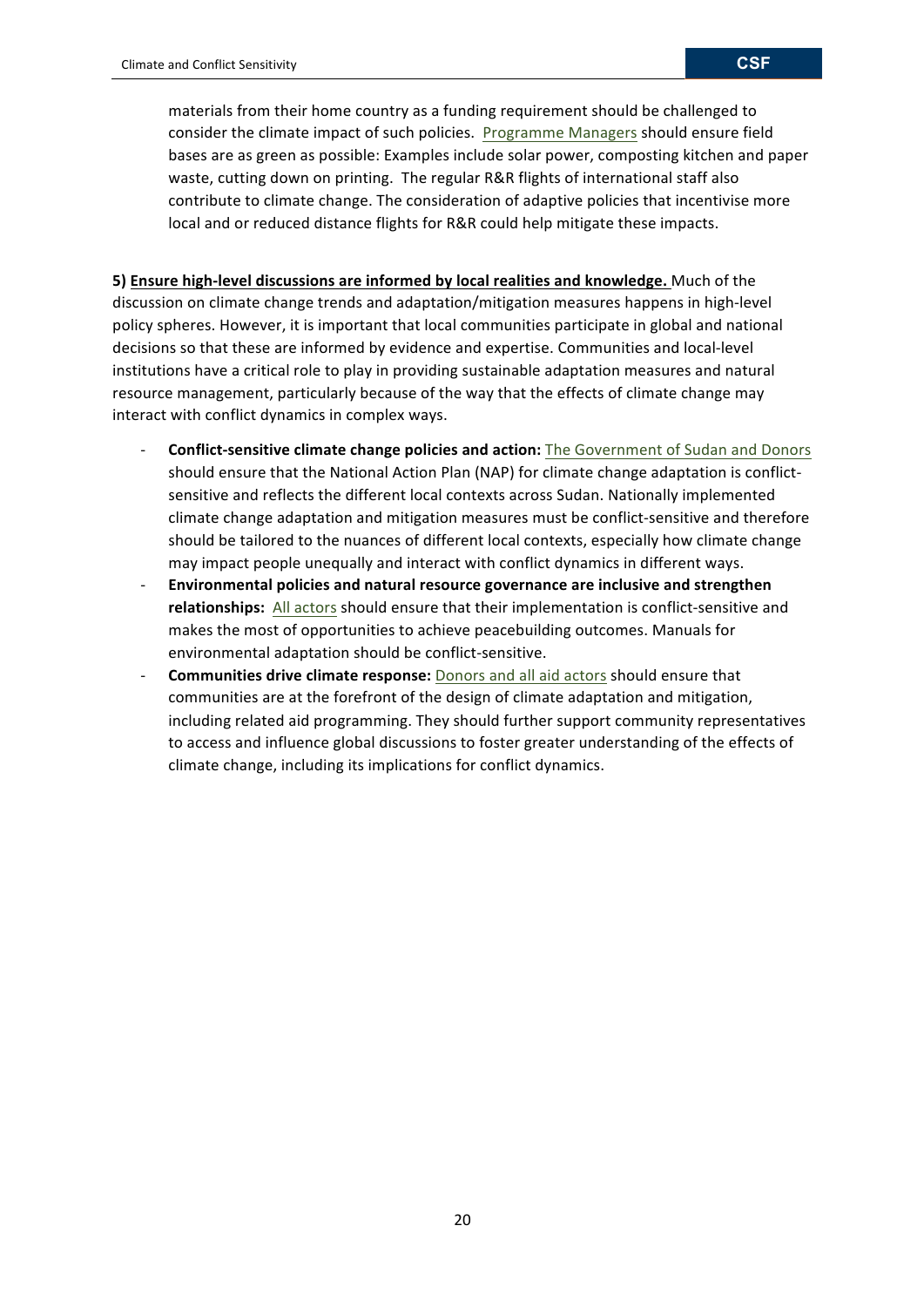materials from their home country as a funding requirement should be challenged to consider the climate impact of such policies. Programme Managers should ensure field bases are as green as possible: Examples include solar power, composting kitchen and paper waste, cutting down on printing. The regular R&R flights of international staff also contribute to climate change. The consideration of adaptive policies that incentivise more local and or reduced distance flights for R&R could help mitigate these impacts.

**5)** Ensure high-level discussions are informed by local realities and knowledge. Much of the discussion on climate change trends and adaptation/mitigation measures happens in high-level policy spheres. However, it is important that local communities participate in global and national decisions so that these are informed by evidence and expertise. Communities and local-level institutions have a critical role to play in providing sustainable adaptation measures and natural resource management, particularly because of the way that the effects of climate change may interact with conflict dynamics in complex ways.

- **Conflict-sensitive climate change policies and action:** The Government of Sudan and Donors should ensure that the National Action Plan (NAP) for climate change adaptation is conflictsensitive and reflects the different local contexts across Sudan. Nationally implemented climate change adaptation and mitigation measures must be conflict-sensitive and therefore should be tailored to the nuances of different local contexts, especially how climate change may impact people unequally and interact with conflict dynamics in different ways.
- Environmental policies and natural resource governance are inclusive and strengthen relationships: All actors should ensure that their implementation is conflict-sensitive and makes the most of opportunities to achieve peacebuilding outcomes. Manuals for environmental adaptation should be conflict-sensitive.
- **Communities drive climate response:** Donors and all aid actors should ensure that communities are at the forefront of the design of climate adaptation and mitigation, including related aid programming. They should further support community representatives to access and influence global discussions to foster greater understanding of the effects of climate change, including its implications for conflict dynamics.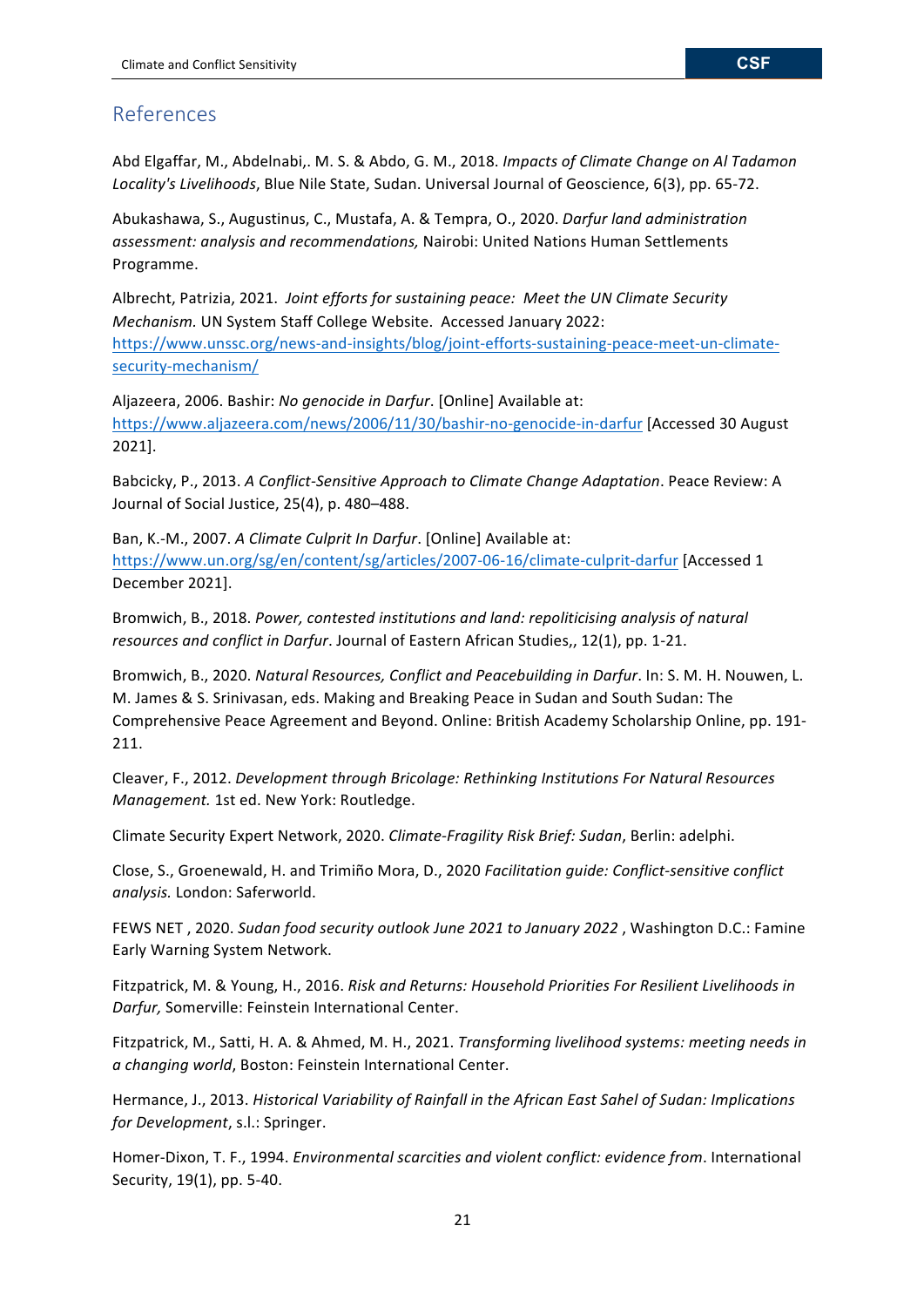# References

Abd Elgaffar, M., Abdelnabi,. M. S. & Abdo, G. M., 2018. *Impacts of Climate Change on Al Tadamon* Locality's Livelihoods, Blue Nile State, Sudan. Universal Journal of Geoscience, 6(3), pp. 65-72.

Abukashawa, S., Augustinus, C., Mustafa, A. & Tempra, O., 2020. *Darfur land administration assessment: analysis and recommendations,* Nairobi: United Nations Human Settlements Programme.

Albrecht, Patrizia, 2021. Joint efforts for sustaining peace: Meet the UN Climate Security *Mechanism.* UN System Staff College Website. Accessed January 2022: https://www.unssc.org/news-and-insights/blog/joint-efforts-sustaining-peace-meet-un-climatesecurity-mechanism/

Aljazeera, 2006. Bashir: *No genocide in Darfur*. [Online] Available at: https://www.aljazeera.com/news/2006/11/30/bashir-no-genocide-in-darfur [Accessed 30 August 2021].

Babcicky, P., 2013. A Conflict-Sensitive Approach to Climate Change Adaptation. Peace Review: A Journal of Social Justice, 25(4), p. 480-488.

Ban, K.-M., 2007. A Climate Culprit In Darfur. [Online] Available at: https://www.un.org/sg/en/content/sg/articles/2007-06-16/climate-culprit-darfur [Accessed 1 December 2021].

Bromwich, B., 2018. *Power, contested institutions and land: repoliticising analysis of natural resources and conflict in Darfur.* Journal of Eastern African Studies,, 12(1), pp. 1-21.

Bromwich, B., 2020. *Natural Resources, Conflict and Peacebuilding in Darfur*. In: S. M. H. Nouwen, L. M. James & S. Srinivasan, eds. Making and Breaking Peace in Sudan and South Sudan: The Comprehensive Peace Agreement and Beyond. Online: British Academy Scholarship Online, pp. 191-211.

Cleaver, F., 2012. *Development through Bricolage: Rethinking Institutions For Natural Resources Management.* 1st ed. New York: Routledge.

Climate Security Expert Network, 2020. *Climate-Fragility Risk Brief: Sudan*, Berlin: adelphi.

Close, S., Groenewald, H. and Trimiño Mora, D., 2020 *Facilitation guide: Conflict-sensitive conflict analysis.* London: Saferworld.

FEWS NET, 2020. Sudan food security outlook June 2021 to January 2022, Washington D.C.: Famine Early Warning System Network.

Fitzpatrick, M. & Young, H., 2016. Risk and Returns: Household Priorities For Resilient Livelihoods in Darfur, Somerville: Feinstein International Center.

Fitzpatrick, M., Satti, H. A. & Ahmed, M. H., 2021. *Transforming livelihood systems: meeting needs in a* changing world, Boston: Feinstein International Center.

Hermance, J., 2013. *Historical Variability of Rainfall in the African East Sahel of Sudan: Implications for Development*, s.l.: Springer.

Homer-Dixon, T. F., 1994. *Environmental scarcities and violent conflict: evidence from*. International Security, 19(1), pp. 5-40.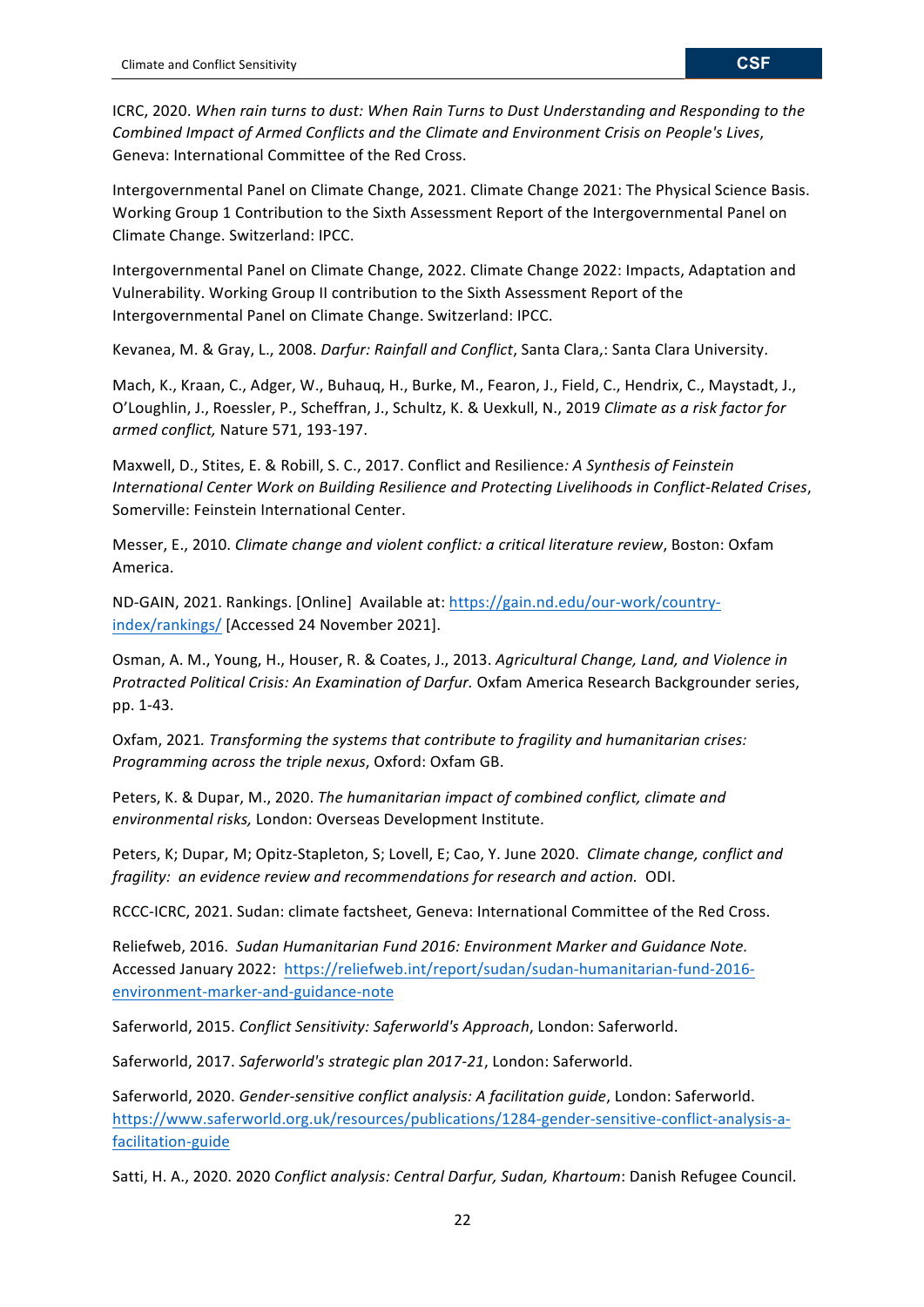ICRC, 2020. When rain turns to dust: When Rain Turns to Dust Understanding and Responding to the Combined Impact of Armed Conflicts and the Climate and Environment Crisis on People's Lives, Geneva: International Committee of the Red Cross.

Intergovernmental Panel on Climate Change, 2021. Climate Change 2021: The Physical Science Basis. Working Group 1 Contribution to the Sixth Assessment Report of the Intergovernmental Panel on Climate Change. Switzerland: IPCC.

Intergovernmental Panel on Climate Change, 2022. Climate Change 2022: Impacts, Adaptation and Vulnerability. Working Group II contribution to the Sixth Assessment Report of the Intergovernmental Panel on Climate Change. Switzerland: IPCC.

Kevanea, M. & Gray, L., 2008. *Darfur: Rainfall and Conflict*, Santa Clara,: Santa Clara University.

Mach, K., Kraan, C., Adger, W., Buhauq, H., Burke, M., Fearon, J., Field, C., Hendrix, C., Maystadt, J., O'Loughlin, J., Roessler, P., Scheffran, J., Schultz, K. & Uexkull, N., 2019 Climate as a risk factor for *armed conflict,* Nature 571, 193-197.

Maxwell, D., Stites, E. & Robill, S. C., 2017. Conflict and Resilience: A Synthesis of Feinstein *International Center Work on Building Resilience and Protecting Livelihoods in Conflict-Related Crises*, Somerville: Feinstein International Center.

Messer, E., 2010. *Climate change and violent conflict: a critical literature review*, Boston: Oxfam America.

ND-GAIN, 2021. Rankings. [Online] Available at: https://gain.nd.edu/our-work/countryindex/rankings/ [Accessed 24 November 2021].

Osman, A. M., Young, H., Houser, R. & Coates, J., 2013. Agricultural Change, Land, and Violence in *Protracted Political Crisis: An Examination of Darfur.* Oxfam America Research Backgrounder series, pp. 1-43.

Oxfam, 2021. *Transforming the systems that contribute to fragility and humanitarian crises: Programming across the triple nexus, Oxford: Oxfam GB.* 

Peters, K. & Dupar, M., 2020. The humanitarian impact of combined conflict, climate and *environmental risks,* London: Overseas Development Institute.

Peters, K; Dupar, M; Opitz-Stapleton, S; Lovell, E; Cao, Y. June 2020. *Climate change, conflict and fragility: an evidence review and recommendations for research and action.* ODI. 

RCCC-ICRC, 2021. Sudan: climate factsheet, Geneva: International Committee of the Red Cross.

Reliefweb, 2016. Sudan Humanitarian Fund 2016: Environment Marker and Guidance Note. Accessed January 2022: https://reliefweb.int/report/sudan/sudan-humanitarian-fund-2016environment-marker-and-guidance-note

Saferworld, 2015. *Conflict Sensitivity: Saferworld's Approach*, London: Saferworld.

Saferworld, 2017. Saferworld's strategic plan 2017-21, London: Saferworld.

Saferworld, 2020. *Gender-sensitive conflict analysis: A facilitation quide*, London: Saferworld. https://www.saferworld.org.uk/resources/publications/1284-gender-sensitive-conflict-analysis-afacilitation-guide

Satti, H. A., 2020. 2020 *Conflict analysis: Central Darfur, Sudan, Khartoum*: Danish Refugee Council.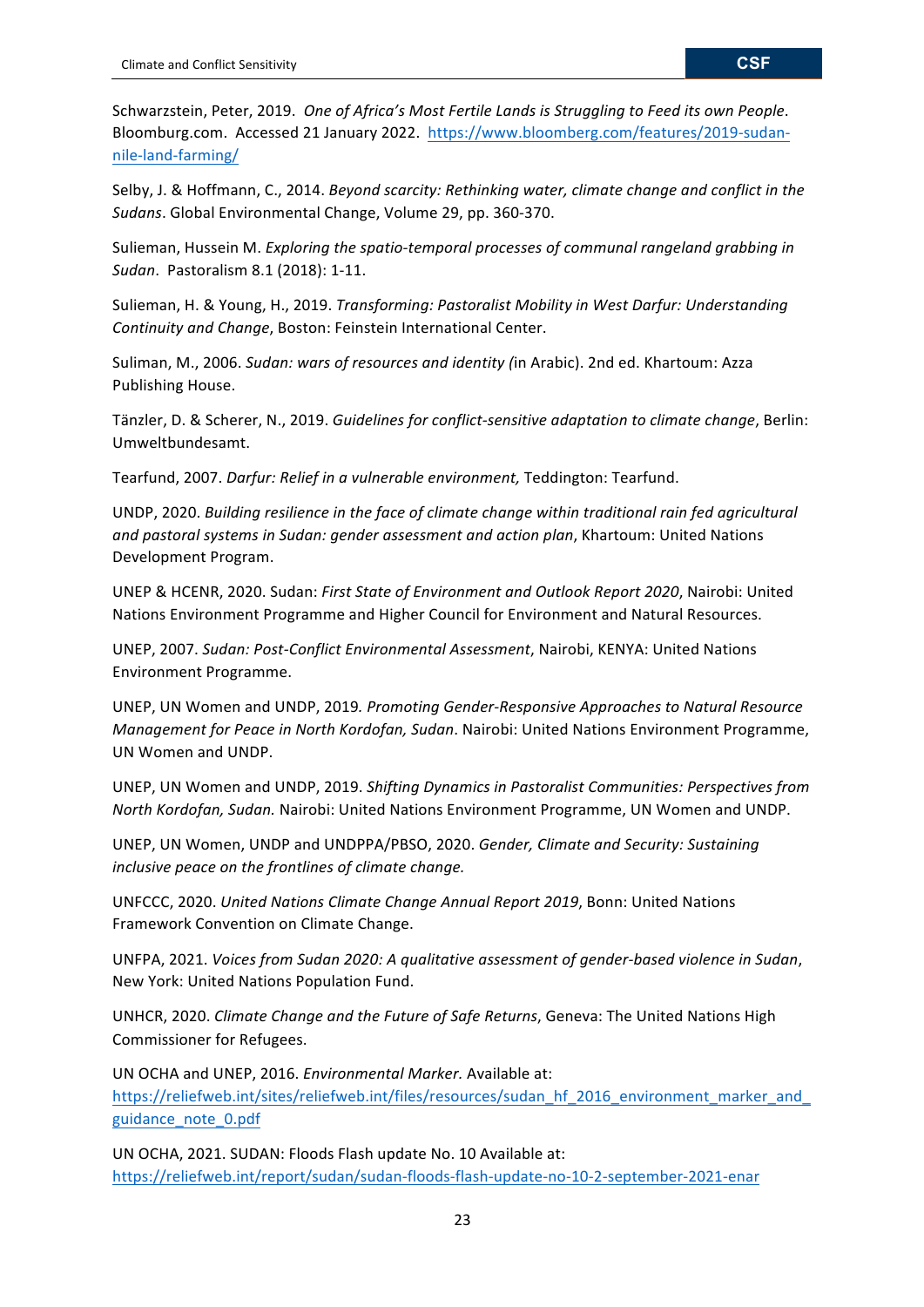Schwarzstein, Peter, 2019. One of Africa's Most Fertile Lands is Struggling to Feed its own People. Bloomburg.com. Accessed 21 January 2022. https://www.bloomberg.com/features/2019-sudannile-land-farming/

Selby, J. & Hoffmann, C., 2014. *Beyond scarcity: Rethinking water, climate change and conflict in the* Sudans. Global Environmental Change, Volume 29, pp. 360-370.

Sulieman, Hussein M. *Exploring the spatio-temporal processes of communal rangeland grabbing in Sudan*. Pastoralism 8.1 (2018): 1-11.

Sulieman, H. & Young, H., 2019. *Transforming: Pastoralist Mobility in West Darfur: Understanding Continuity and Change*, Boston: Feinstein International Center.

Suliman, M., 2006. *Sudan: wars of resources and identity (in Arabic)*. 2nd ed. Khartoum: Azza Publishing House.

Tänzler, D. & Scherer, N., 2019. *Guidelines for conflict-sensitive adaptation to climate change*, Berlin: Umweltbundesamt.

Tearfund, 2007. *Darfur: Relief in a vulnerable environment*, Teddington: Tearfund.

UNDP, 2020. *Building resilience in the face of climate change within traditional rain fed agricultural* and pastoral systems in Sudan: gender assessment and action plan, Khartoum: United Nations Development Program.

UNEP & HCENR, 2020. Sudan: First State of Environment and Outlook Report 2020, Nairobi: United Nations Environment Programme and Higher Council for Environment and Natural Resources.

UNEP, 2007. Sudan: Post-Conflict Environmental Assessment, Nairobi, KENYA: United Nations Environment Programme.

UNEP, UN Women and UNDP, 2019. Promoting Gender-Responsive Approaches to Natural Resource *Management for Peace in North Kordofan, Sudan. Nairobi: United Nations Environment Programme,* UN Women and UNDP.

UNEP, UN Women and UNDP, 2019. *Shifting Dynamics in Pastoralist Communities: Perspectives from North Kordofan, Sudan.* Nairobi: United Nations Environment Programme, UN Women and UNDP.

UNEP, UN Women, UNDP and UNDPPA/PBSO, 2020. *Gender, Climate and Security: Sustaining inclusive peace on the frontlines of climate change.* 

UNFCCC, 2020. *United Nations Climate Change Annual Report 2019*, Bonn: United Nations Framework Convention on Climate Change.

UNFPA, 2021. *Voices from Sudan 2020: A qualitative assessment of gender-based violence in Sudan*, New York: United Nations Population Fund.

UNHCR, 2020. *Climate Change and the Future of Safe Returns*, Geneva: The United Nations High Commissioner for Refugees.

UN OCHA and UNEP, 2016. *Environmental Marker*. Available at: https://reliefweb.int/sites/reliefweb.int/files/resources/sudan\_hf\_2016\_environment\_marker\_and\_ guidance\_note\_0.pdf

UN OCHA, 2021. SUDAN: Floods Flash update No. 10 Available at: https://reliefweb.int/report/sudan/sudan-floods-flash-update-no-10-2-september-2021-enar